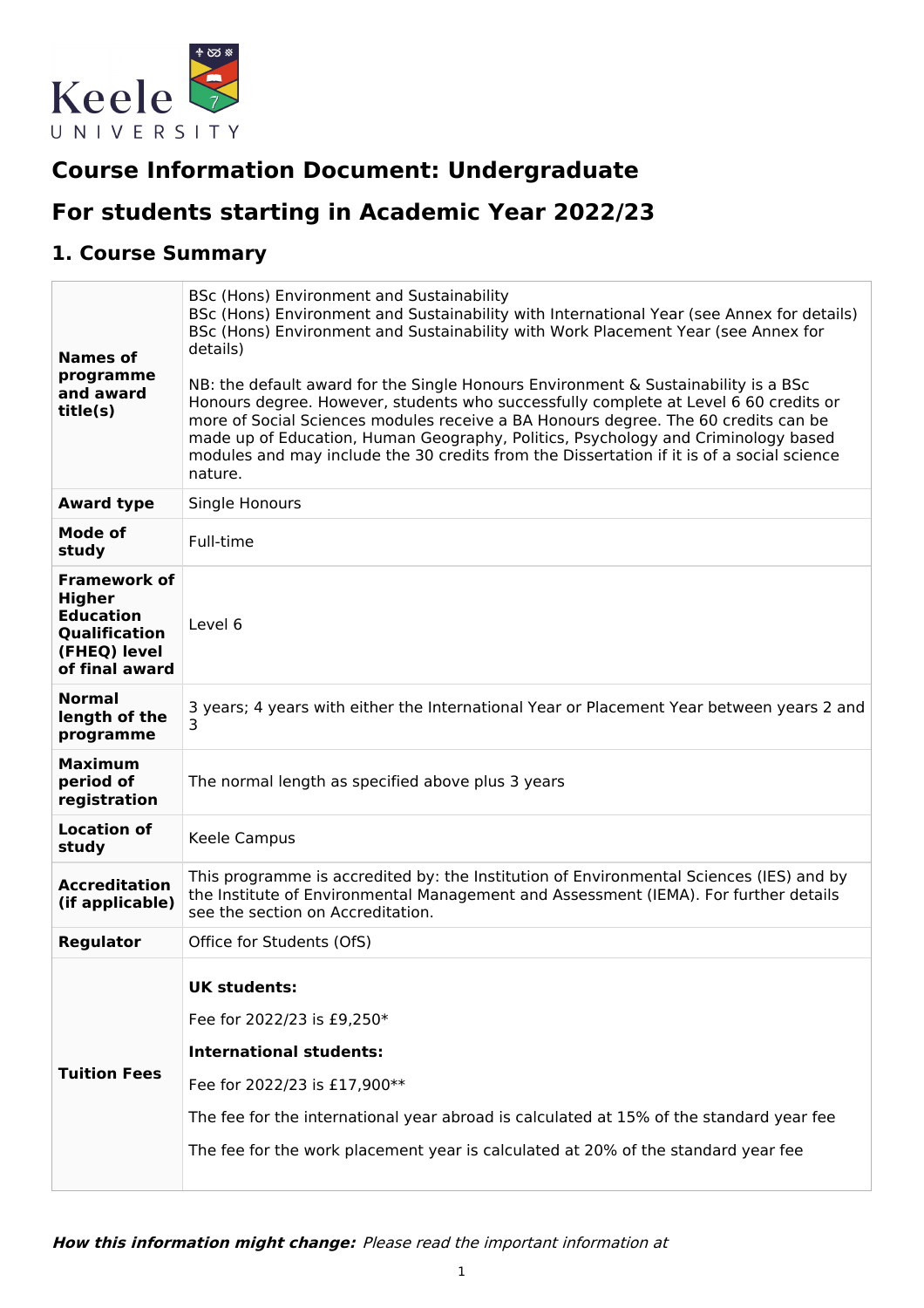

# **Course Information Document: Undergraduate**

# **For students starting in Academic Year 2022/23**

## **1. Course Summary**

| <b>Names of</b><br>programme<br>and award<br>title(s)                                                       | BSc (Hons) Environment and Sustainability<br>BSc (Hons) Environment and Sustainability with International Year (see Annex for details)<br>BSc (Hons) Environment and Sustainability with Work Placement Year (see Annex for<br>details)<br>NB: the default award for the Single Honours Environment & Sustainability is a BSc<br>Honours degree. However, students who successfully complete at Level 6 60 credits or<br>more of Social Sciences modules receive a BA Honours degree. The 60 credits can be<br>made up of Education, Human Geography, Politics, Psychology and Criminology based<br>modules and may include the 30 credits from the Dissertation if it is of a social science<br>nature. |
|-------------------------------------------------------------------------------------------------------------|----------------------------------------------------------------------------------------------------------------------------------------------------------------------------------------------------------------------------------------------------------------------------------------------------------------------------------------------------------------------------------------------------------------------------------------------------------------------------------------------------------------------------------------------------------------------------------------------------------------------------------------------------------------------------------------------------------|
| <b>Award type</b>                                                                                           | Single Honours                                                                                                                                                                                                                                                                                                                                                                                                                                                                                                                                                                                                                                                                                           |
| Mode of<br>study                                                                                            | Full-time                                                                                                                                                                                                                                                                                                                                                                                                                                                                                                                                                                                                                                                                                                |
| <b>Framework of</b><br><b>Higher</b><br><b>Education</b><br>Qualification<br>(FHEQ) level<br>of final award | Level 6                                                                                                                                                                                                                                                                                                                                                                                                                                                                                                                                                                                                                                                                                                  |
| <b>Normal</b><br>length of the<br>programme                                                                 | 3 years; 4 years with either the International Year or Placement Year between years 2 and<br>3                                                                                                                                                                                                                                                                                                                                                                                                                                                                                                                                                                                                           |
| <b>Maximum</b><br>period of<br>registration                                                                 | The normal length as specified above plus 3 years                                                                                                                                                                                                                                                                                                                                                                                                                                                                                                                                                                                                                                                        |
| <b>Location of</b><br>study                                                                                 | Keele Campus                                                                                                                                                                                                                                                                                                                                                                                                                                                                                                                                                                                                                                                                                             |
| <b>Accreditation</b><br>(if applicable)                                                                     | This programme is accredited by: the Institution of Environmental Sciences (IES) and by<br>the Institute of Environmental Management and Assessment (IEMA). For further details<br>see the section on Accreditation.                                                                                                                                                                                                                                                                                                                                                                                                                                                                                     |
| Regulator                                                                                                   | Office for Students (OfS)                                                                                                                                                                                                                                                                                                                                                                                                                                                                                                                                                                                                                                                                                |
| <b>Tuition Fees</b>                                                                                         | <b>UK students:</b><br>Fee for 2022/23 is £9,250*<br><b>International students:</b><br>Fee for 2022/23 is £17,900**<br>The fee for the international year abroad is calculated at 15% of the standard year fee<br>The fee for the work placement year is calculated at 20% of the standard year fee                                                                                                                                                                                                                                                                                                                                                                                                      |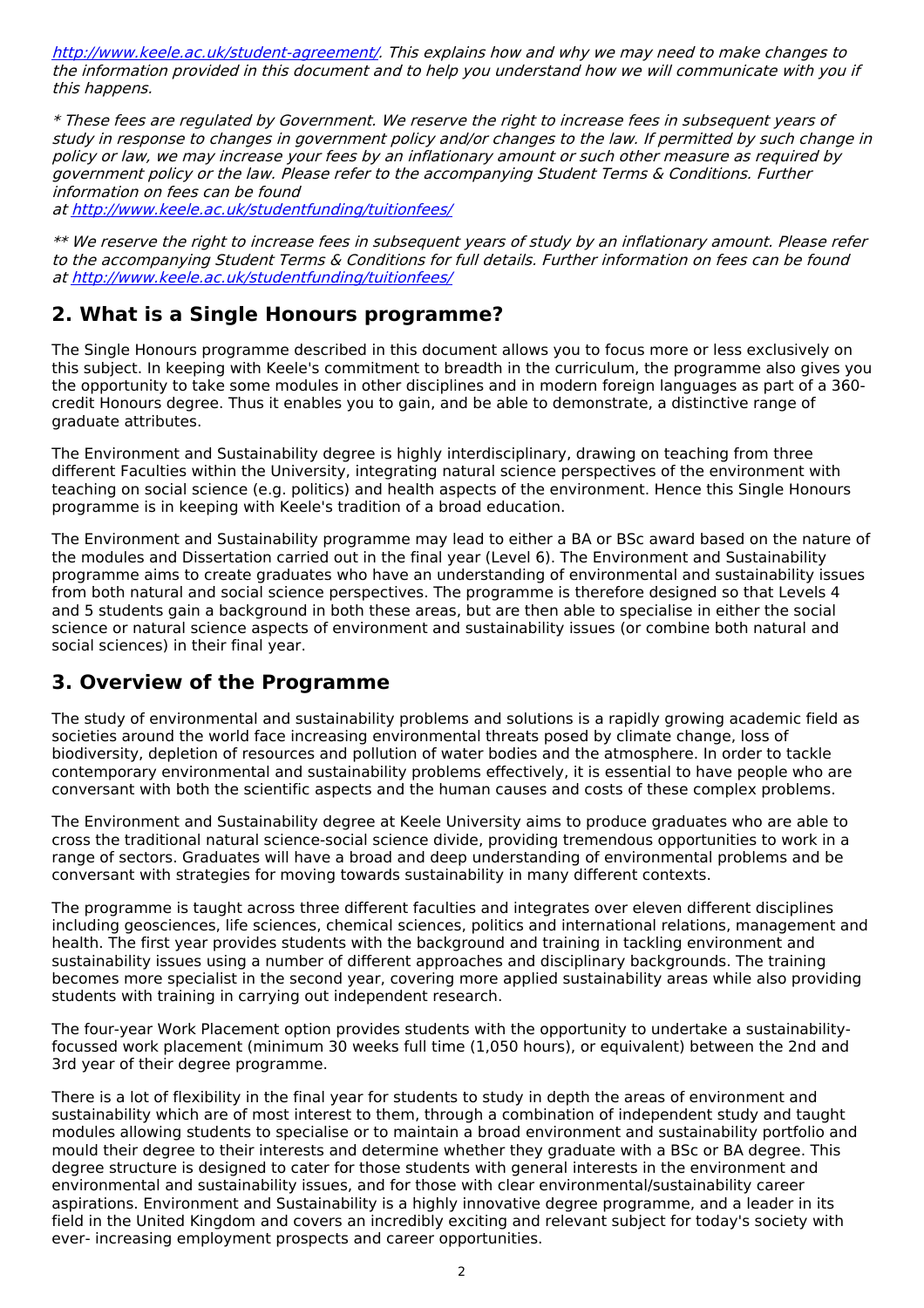<http://www.keele.ac.uk/student-agreement/>. This explains how and why we may need to make changes to the information provided in this document and to help you understand how we will communicate with you if this happens.

\* These fees are regulated by Government. We reserve the right to increase fees in subsequent years of study in response to changes in government policy and/or changes to the law. If permitted by such change in policy or law, we may increase your fees by an inflationary amount or such other measure as required by government policy or the law. Please refer to the accompanying Student Terms & Conditions. Further information on fees can be found

at <http://www.keele.ac.uk/studentfunding/tuitionfees/>

\*\* We reserve the right to increase fees in subsequent years of study by an inflationary amount. Please refer to the accompanying Student Terms & Conditions for full details. Further information on fees can be found at <http://www.keele.ac.uk/studentfunding/tuitionfees/>

## **2. What is a Single Honours programme?**

The Single Honours programme described in this document allows you to focus more or less exclusively on this subject. In keeping with Keele's commitment to breadth in the curriculum, the programme also gives you the opportunity to take some modules in other disciplines and in modern foreign languages as part of a 360 credit Honours degree. Thus it enables you to gain, and be able to demonstrate, a distinctive range of graduate attributes.

The Environment and Sustainability degree is highly interdisciplinary, drawing on teaching from three different Faculties within the University, integrating natural science perspectives of the environment with teaching on social science (e.g. politics) and health aspects of the environment. Hence this Single Honours programme is in keeping with Keele's tradition of a broad education.

The Environment and Sustainability programme may lead to either a BA or BSc award based on the nature of the modules and Dissertation carried out in the final year (Level 6). The Environment and Sustainability programme aims to create graduates who have an understanding of environmental and sustainability issues from both natural and social science perspectives. The programme is therefore designed so that Levels 4 and 5 students gain a background in both these areas, but are then able to specialise in either the social science or natural science aspects of environment and sustainability issues (or combine both natural and social sciences) in their final year.

## **3. Overview of the Programme**

The study of environmental and sustainability problems and solutions is a rapidly growing academic field as societies around the world face increasing environmental threats posed by climate change, loss of biodiversity, depletion of resources and pollution of water bodies and the atmosphere. In order to tackle contemporary environmental and sustainability problems effectively, it is essential to have people who are conversant with both the scientific aspects and the human causes and costs of these complex problems.

The Environment and Sustainability degree at Keele University aims to produce graduates who are able to cross the traditional natural science-social science divide, providing tremendous opportunities to work in a range of sectors. Graduates will have a broad and deep understanding of environmental problems and be conversant with strategies for moving towards sustainability in many different contexts.

The programme is taught across three different faculties and integrates over eleven different disciplines including geosciences, life sciences, chemical sciences, politics and international relations, management and health. The first year provides students with the background and training in tackling environment and sustainability issues using a number of different approaches and disciplinary backgrounds. The training becomes more specialist in the second year, covering more applied sustainability areas while also providing students with training in carrying out independent research.

The four-year Work Placement option provides students with the opportunity to undertake a sustainabilityfocussed work placement (minimum 30 weeks full time (1,050 hours), or equivalent) between the 2nd and 3rd year of their degree programme.

There is a lot of flexibility in the final year for students to study in depth the areas of environment and sustainability which are of most interest to them, through a combination of independent study and taught modules allowing students to specialise or to maintain a broad environment and sustainability portfolio and mould their degree to their interests and determine whether they graduate with a BSc or BA degree. This degree structure is designed to cater for those students with general interests in the environment and environmental and sustainability issues, and for those with clear environmental/sustainability career aspirations. Environment and Sustainability is a highly innovative degree programme, and a leader in its field in the United Kingdom and covers an incredibly exciting and relevant subject for today's society with ever- increasing employment prospects and career opportunities.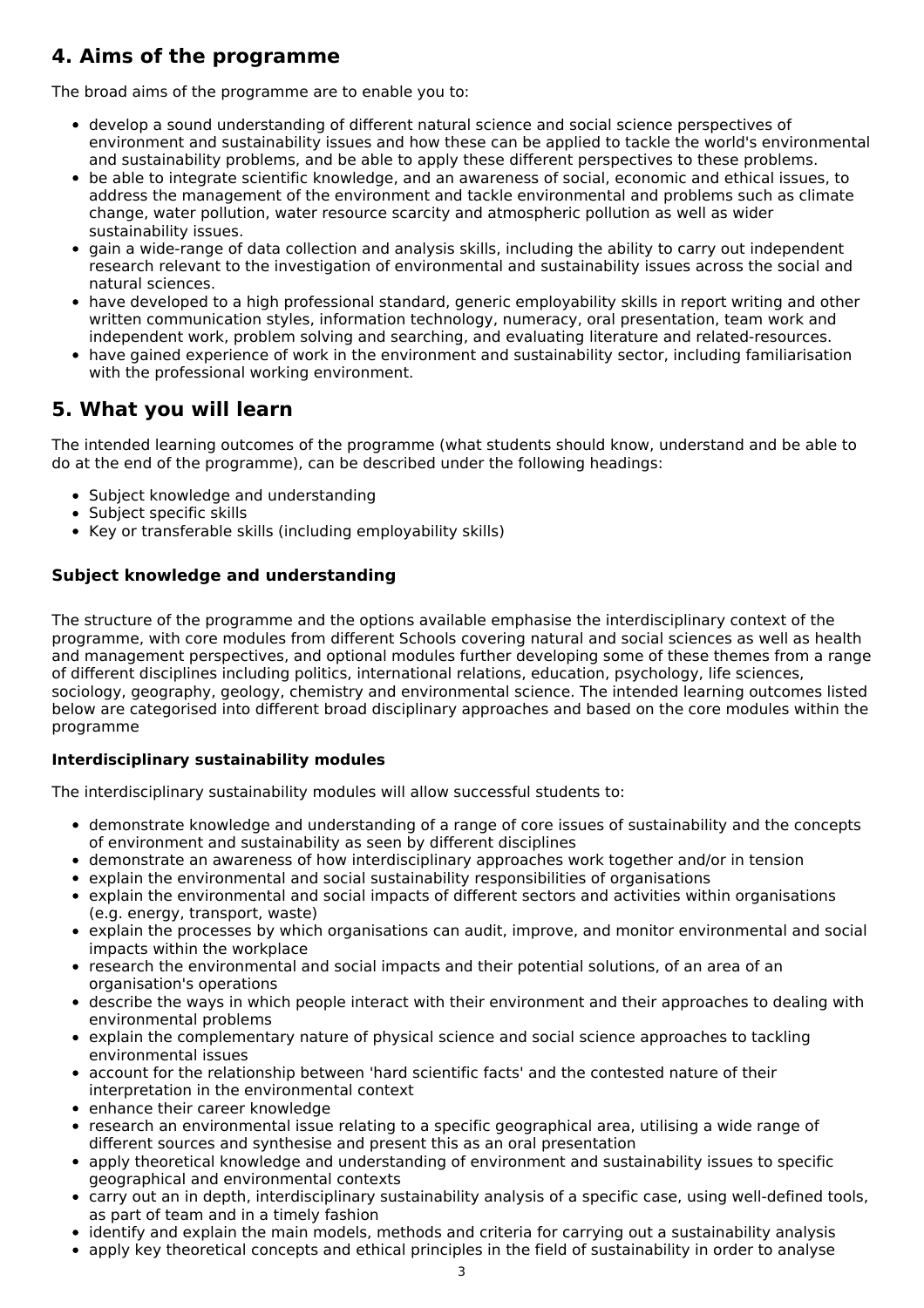## **4. Aims of the programme**

The broad aims of the programme are to enable you to:

- develop a sound understanding of different natural science and social science perspectives of environment and sustainability issues and how these can be applied to tackle the world's environmental and sustainability problems, and be able to apply these different perspectives to these problems.
- be able to integrate scientific knowledge, and an awareness of social, economic and ethical issues, to address the management of the environment and tackle environmental and problems such as climate change, water pollution, water resource scarcity and atmospheric pollution as well as wider sustainability issues.
- gain a wide-range of data collection and analysis skills, including the ability to carry out independent research relevant to the investigation of environmental and sustainability issues across the social and natural sciences.
- have developed to a high professional standard, generic employability skills in report writing and other written communication styles, information technology, numeracy, oral presentation, team work and independent work, problem solving and searching, and evaluating literature and related-resources.
- have gained experience of work in the environment and sustainability sector, including familiarisation with the professional working environment.

## **5. What you will learn**

The intended learning outcomes of the programme (what students should know, understand and be able to do at the end of the programme), can be described under the following headings:

- Subject knowledge and understanding
- Subject specific skills
- Key or transferable skills (including employability skills)

## **Subject knowledge and understanding**

The structure of the programme and the options available emphasise the interdisciplinary context of the programme, with core modules from different Schools covering natural and social sciences as well as health and management perspectives, and optional modules further developing some of these themes from a range of different disciplines including politics, international relations, education, psychology, life sciences, sociology, geography, geology, chemistry and environmental science. The intended learning outcomes listed below are categorised into different broad disciplinary approaches and based on the core modules within the programme

### **Interdisciplinary sustainability modules**

The interdisciplinary sustainability modules will allow successful students to:

- demonstrate knowledge and understanding of a range of core issues of sustainability and the concepts of environment and sustainability as seen by different disciplines
- demonstrate an awareness of how interdisciplinary approaches work together and/or in tension
- explain the environmental and social sustainability responsibilities of organisations
- explain the environmental and social impacts of different sectors and activities within organisations (e.g. energy, transport, waste)
- explain the processes by which organisations can audit, improve, and monitor environmental and social impacts within the workplace
- research the environmental and social impacts and their potential solutions, of an area of an organisation's operations
- describe the ways in which people interact with their environment and their approaches to dealing with environmental problems
- explain the complementary nature of physical science and social science approaches to tackling environmental issues
- account for the relationship between 'hard scientific facts' and the contested nature of their interpretation in the environmental context
- enhance their career knowledge
- research an environmental issue relating to a specific geographical area, utilising a wide range of different sources and synthesise and present this as an oral presentation
- apply theoretical knowledge and understanding of environment and sustainability issues to specific geographical and environmental contexts
- carry out an in depth, interdisciplinary sustainability analysis of a specific case, using well-defined tools, as part of team and in a timely fashion
- identify and explain the main models, methods and criteria for carrying out a sustainability analysis
- apply key theoretical concepts and ethical principles in the field of sustainability in order to analyse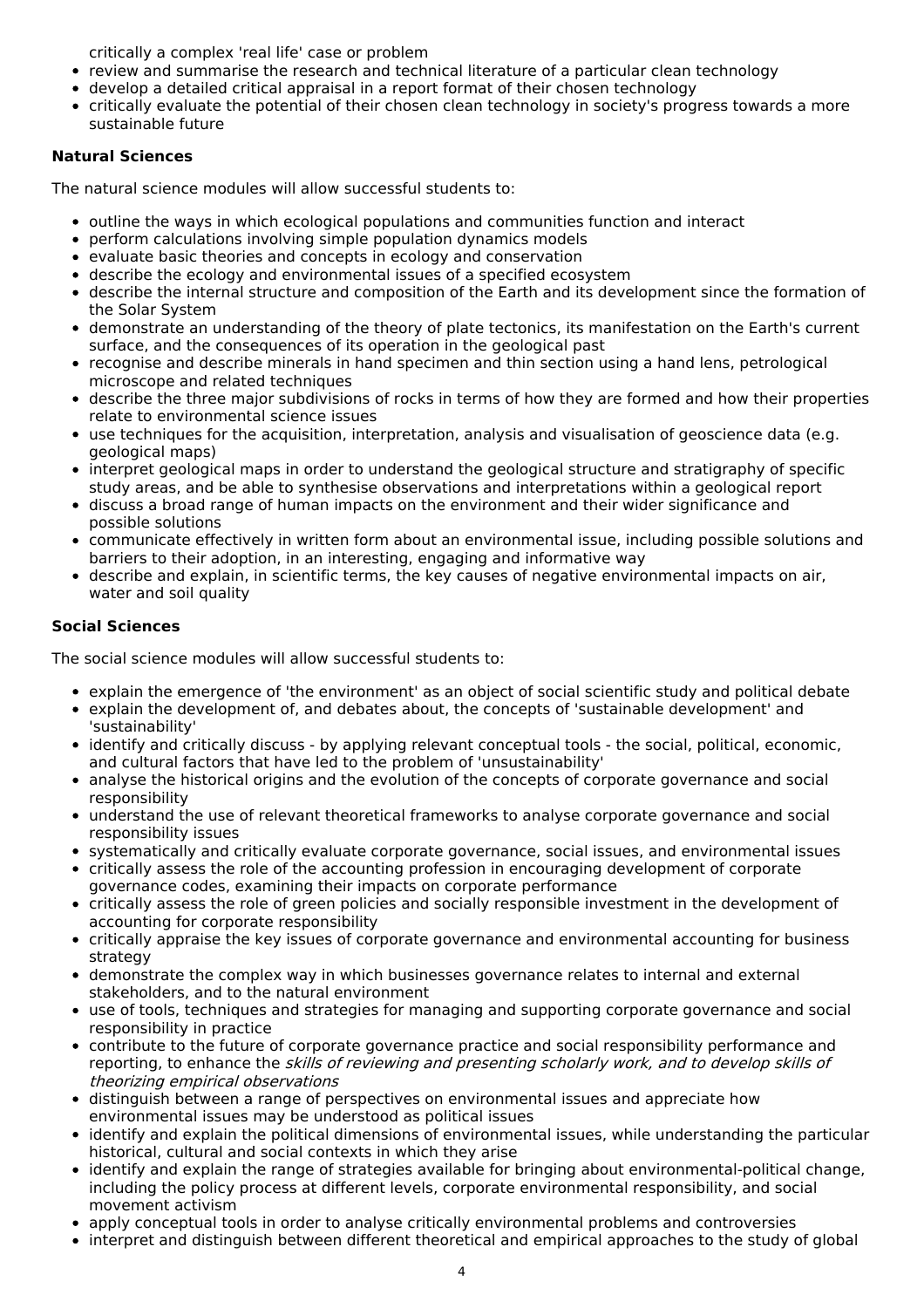critically a complex 'real life' case or problem

- review and summarise the research and technical literature of a particular clean technology
- develop a detailed critical appraisal in a report format of their chosen technology
- critically evaluate the potential of their chosen clean technology in society's progress towards a more sustainable future

### **Natural Sciences**

The natural science modules will allow successful students to:

- outline the ways in which ecological populations and communities function and interact
- perform calculations involving simple population dynamics models
- evaluate basic theories and concepts in ecology and conservation
- describe the ecology and environmental issues of a specified ecosystem
- describe the internal structure and composition of the Earth and its development since the formation of the Solar System
- demonstrate an understanding of the theory of plate tectonics, its manifestation on the Earth's current surface, and the consequences of its operation in the geological past
- recognise and describe minerals in hand specimen and thin section using a hand lens, petrological microscope and related techniques
- describe the three major subdivisions of rocks in terms of how they are formed and how their properties relate to environmental science issues
- use techniques for the acquisition, interpretation, analysis and visualisation of geoscience data (e.g. geological maps)
- interpret geological maps in order to understand the geological structure and stratigraphy of specific  $\bullet$ study areas, and be able to synthesise observations and interpretations within a geological report
- discuss a broad range of human impacts on the environment and their wider significance and possible solutions
- communicate effectively in written form about an environmental issue, including possible solutions and barriers to their adoption, in an interesting, engaging and informative way
- describe and explain, in scientific terms, the key causes of negative environmental impacts on air, water and soil quality

#### **Social Sciences**

The social science modules will allow successful students to:

- explain the emergence of 'the environment' as an object of social scientific study and political debate
- explain the development of, and debates about, the concepts of 'sustainable development' and 'sustainability'
- identify and critically discuss by applying relevant conceptual tools the social, political, economic, and cultural factors that have led to the problem of 'unsustainability'
- analyse the historical origins and the evolution of the concepts of corporate governance and social responsibility
- understand the use of relevant theoretical frameworks to analyse corporate governance and social responsibility issues
- systematically and critically evaluate corporate governance, social issues, and environmental issues
- critically assess the role of the accounting profession in encouraging development of corporate governance codes, examining their impacts on corporate performance
- critically assess the role of green policies and socially responsible investment in the development of  $\bullet$ accounting for corporate responsibility
- critically appraise the key issues of corporate governance and environmental accounting for business  $\bullet$ strategy
- demonstrate the complex way in which businesses governance relates to internal and external stakeholders, and to the natural environment
- use of tools, techniques and strategies for managing and supporting corporate governance and social responsibility in practice
- contribute to the future of corporate governance practice and social responsibility performance and reporting, to enhance the skills of reviewing and presenting scholarly work, and to develop skills of theorizing empirical observations
- distinguish between a range of perspectives on environmental issues and appreciate how environmental issues may be understood as political issues
- identify and explain the political dimensions of environmental issues, while understanding the particular historical, cultural and social contexts in which they arise
- identify and explain the range of strategies available for bringing about environmental-political change,  $\bullet$ including the policy process at different levels, corporate environmental responsibility, and social movement activism
- apply conceptual tools in order to analyse critically environmental problems and controversies
- interpret and distinguish between different theoretical and empirical approaches to the study of global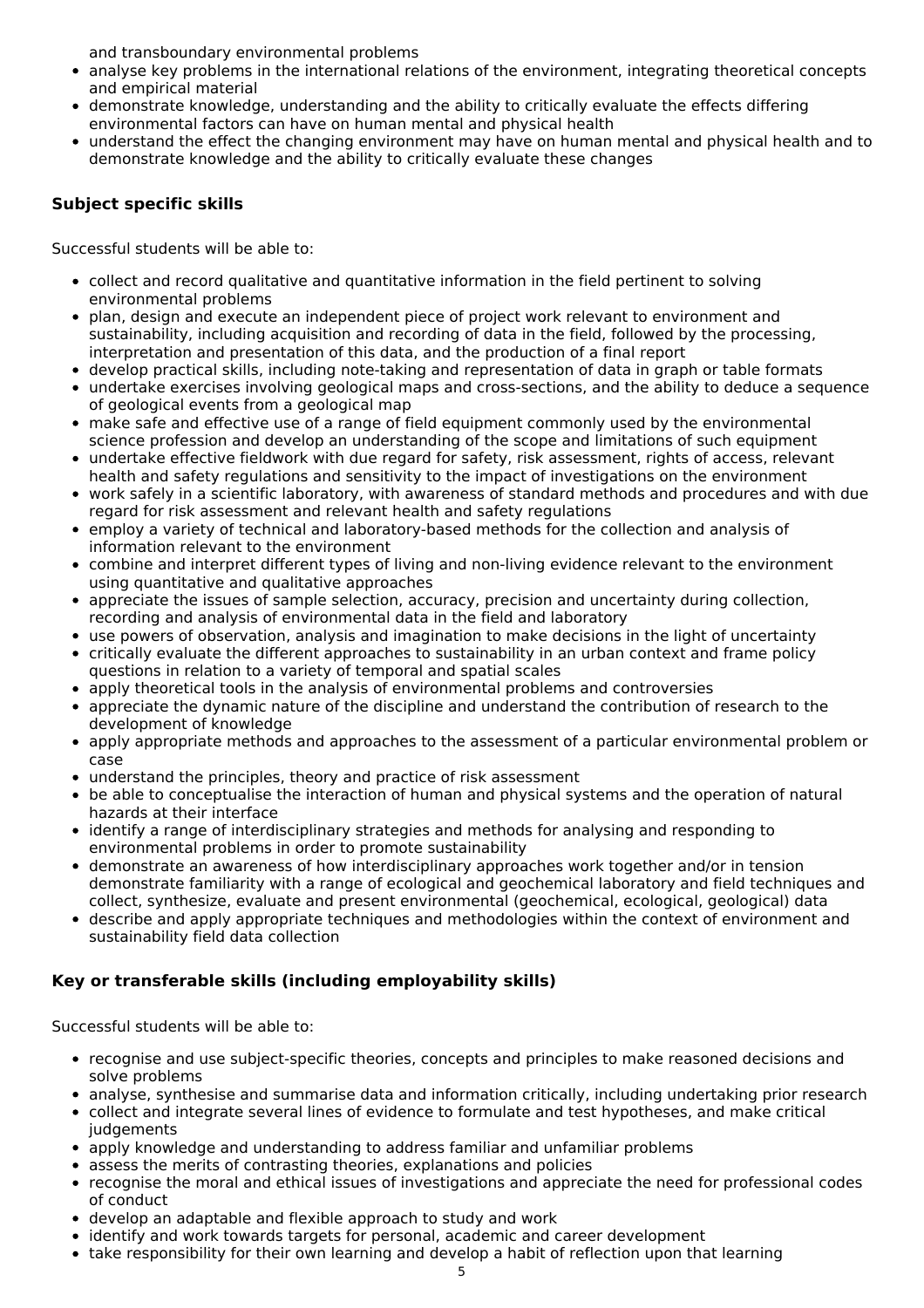and transboundary environmental problems

- analyse key problems in the international relations of the environment, integrating theoretical concepts and empirical material
- demonstrate knowledge, understanding and the ability to critically evaluate the effects differing environmental factors can have on human mental and physical health
- understand the effect the changing environment may have on human mental and physical health and to demonstrate knowledge and the ability to critically evaluate these changes

## **Subject specific skills**

Successful students will be able to:

- collect and record qualitative and quantitative information in the field pertinent to solving environmental problems
- plan, design and execute an independent piece of project work relevant to environment and sustainability, including acquisition and recording of data in the field, followed by the processing, interpretation and presentation of this data, and the production of a final report
- develop practical skills, including note-taking and representation of data in graph or table formats undertake exercises involving geological maps and cross-sections, and the ability to deduce a sequence of geological events from a geological map
- make safe and effective use of a range of field equipment commonly used by the environmental science profession and develop an understanding of the scope and limitations of such equipment
- undertake effective fieldwork with due regard for safety, risk assessment, rights of access, relevant health and safety regulations and sensitivity to the impact of investigations on the environment
- work safely in a scientific laboratory, with awareness of standard methods and procedures and with due regard for risk assessment and relevant health and safety regulations
- employ a variety of technical and laboratory-based methods for the collection and analysis of information relevant to the environment
- combine and interpret different types of living and non-living evidence relevant to the environment using quantitative and qualitative approaches
- appreciate the issues of sample selection, accuracy, precision and uncertainty during collection, recording and analysis of environmental data in the field and laboratory
- use powers of observation, analysis and imagination to make decisions in the light of uncertainty
- critically evaluate the different approaches to sustainability in an urban context and frame policy questions in relation to a variety of temporal and spatial scales
- apply theoretical tools in the analysis of environmental problems and controversies
- appreciate the dynamic nature of the discipline and understand the contribution of research to the development of knowledge
- apply appropriate methods and approaches to the assessment of a particular environmental problem or case
- understand the principles, theory and practice of risk assessment
- be able to conceptualise the interaction of human and physical systems and the operation of natural hazards at their interface
- identify a range of interdisciplinary strategies and methods for analysing and responding to environmental problems in order to promote sustainability
- demonstrate an awareness of how interdisciplinary approaches work together and/or in tension demonstrate familiarity with a range of ecological and geochemical laboratory and field techniques and collect, synthesize, evaluate and present environmental (geochemical, ecological, geological) data
- describe and apply appropriate techniques and methodologies within the context of environment and sustainability field data collection

### **Key or transferable skills (including employability skills)**

Successful students will be able to:

- recognise and use subject-specific theories, concepts and principles to make reasoned decisions and solve problems
- analyse, synthesise and summarise data and information critically, including undertaking prior research
- collect and integrate several lines of evidence to formulate and test hypotheses, and make critical judgements
- apply knowledge and understanding to address familiar and unfamiliar problems
- assess the merits of contrasting theories, explanations and policies
- recognise the moral and ethical issues of investigations and appreciate the need for professional codes of conduct
- develop an adaptable and flexible approach to study and work
- identify and work towards targets for personal, academic and career development
- take responsibility for their own learning and develop a habit of reflection upon that learning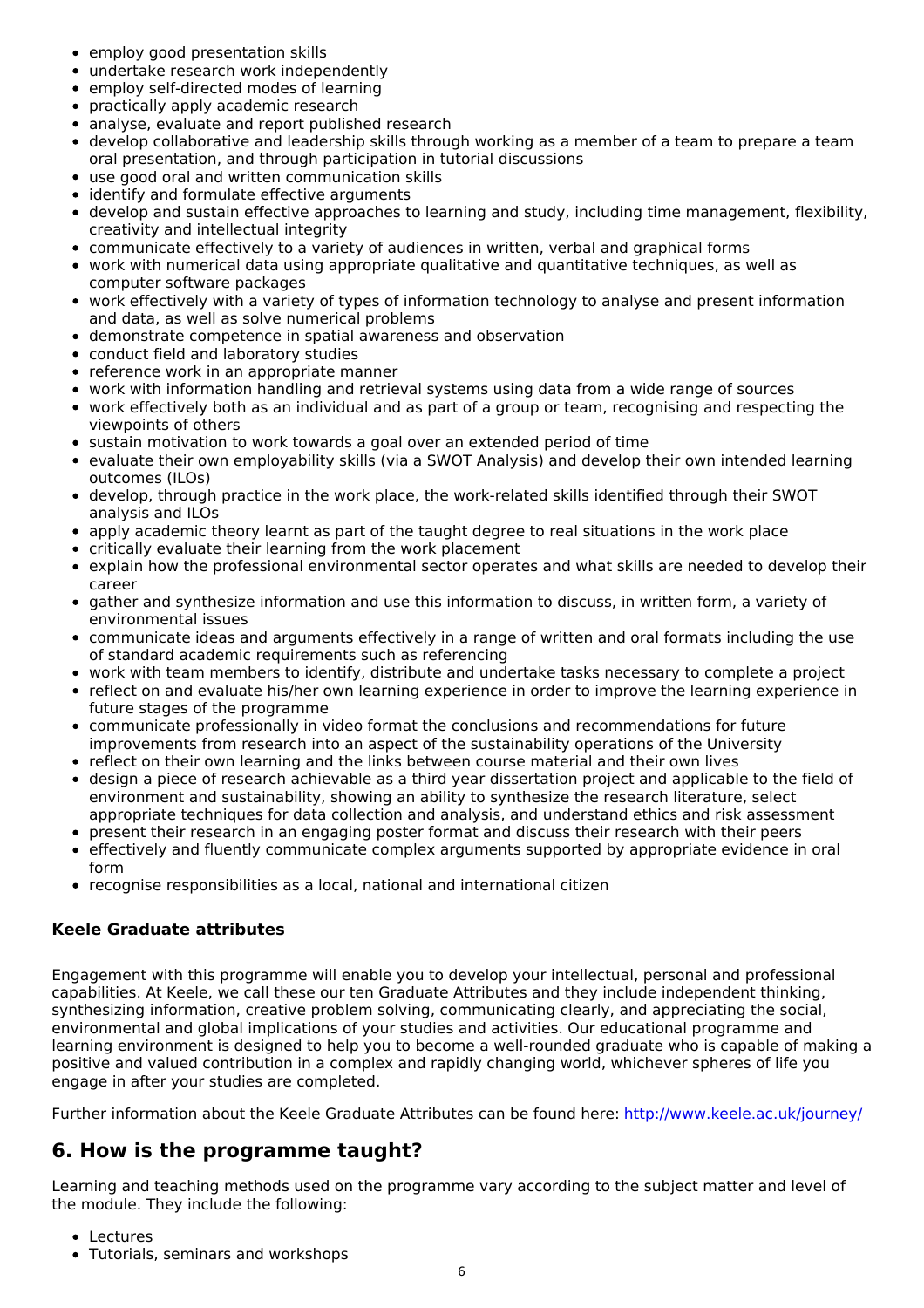- employ good presentation skills
- undertake research work independently
- employ self-directed modes of learning
- practically apply academic research
- analyse, evaluate and report published research
- develop collaborative and leadership skills through working as a member of a team to prepare a team oral presentation, and through participation in tutorial discussions
- use good oral and written communication skills
- identify and formulate effective arguments
- develop and sustain effective approaches to learning and study, including time management, flexibility,  $\bullet$ creativity and intellectual integrity
- communicate effectively to a variety of audiences in written, verbal and graphical forms
- work with numerical data using appropriate qualitative and quantitative techniques, as well as computer software packages
- work effectively with a variety of types of information technology to analyse and present information and data, as well as solve numerical problems
- demonstrate competence in spatial awareness and observation
- conduct field and laboratory studies
- reference work in an appropriate manner
- work with information handling and retrieval systems using data from a wide range of sources
- work effectively both as an individual and as part of a group or team, recognising and respecting the viewpoints of others
- sustain motivation to work towards a goal over an extended period of time
- evaluate their own employability skills (via a SWOT Analysis) and develop their own intended learning  $\bullet$ outcomes (ILOs)
- develop, through practice in the work place, the work-related skills identified through their SWOT analysis and ILOs
- apply academic theory learnt as part of the taught degree to real situations in the work place
- $\bullet$ critically evaluate their learning from the work placement
- $\bullet$ explain how the professional environmental sector operates and what skills are needed to develop their career
- gather and synthesize information and use this information to discuss, in written form, a variety of environmental issues
- communicate ideas and arguments effectively in a range of written and oral formats including the use of standard academic requirements such as referencing
- work with team members to identify, distribute and undertake tasks necessary to complete a project
- reflect on and evaluate his/her own learning experience in order to improve the learning experience in future stages of the programme
- communicate professionally in video format the conclusions and recommendations for future improvements from research into an aspect of the sustainability operations of the University
- reflect on their own learning and the links between course material and their own lives
- design a piece of research achievable as a third year dissertation project and applicable to the field of environment and sustainability, showing an ability to synthesize the research literature, select appropriate techniques for data collection and analysis, and understand ethics and risk assessment
- present their research in an engaging poster format and discuss their research with their peers
- effectively and fluently communicate complex arguments supported by appropriate evidence in oral form
- recognise responsibilities as a local, national and international citizen

### **Keele Graduate attributes**

Engagement with this programme will enable you to develop your intellectual, personal and professional capabilities. At Keele, we call these our ten Graduate Attributes and they include independent thinking, synthesizing information, creative problem solving, communicating clearly, and appreciating the social, environmental and global implications of your studies and activities. Our educational programme and learning environment is designed to help you to become a well-rounded graduate who is capable of making a positive and valued contribution in a complex and rapidly changing world, whichever spheres of life you engage in after your studies are completed.

Further information about the Keele Graduate Attributes can be found here: <http://www.keele.ac.uk/journey/>

## **6. How is the programme taught?**

Learning and teaching methods used on the programme vary according to the subject matter and level of the module. They include the following:

- Lectures
- Tutorials, seminars and workshops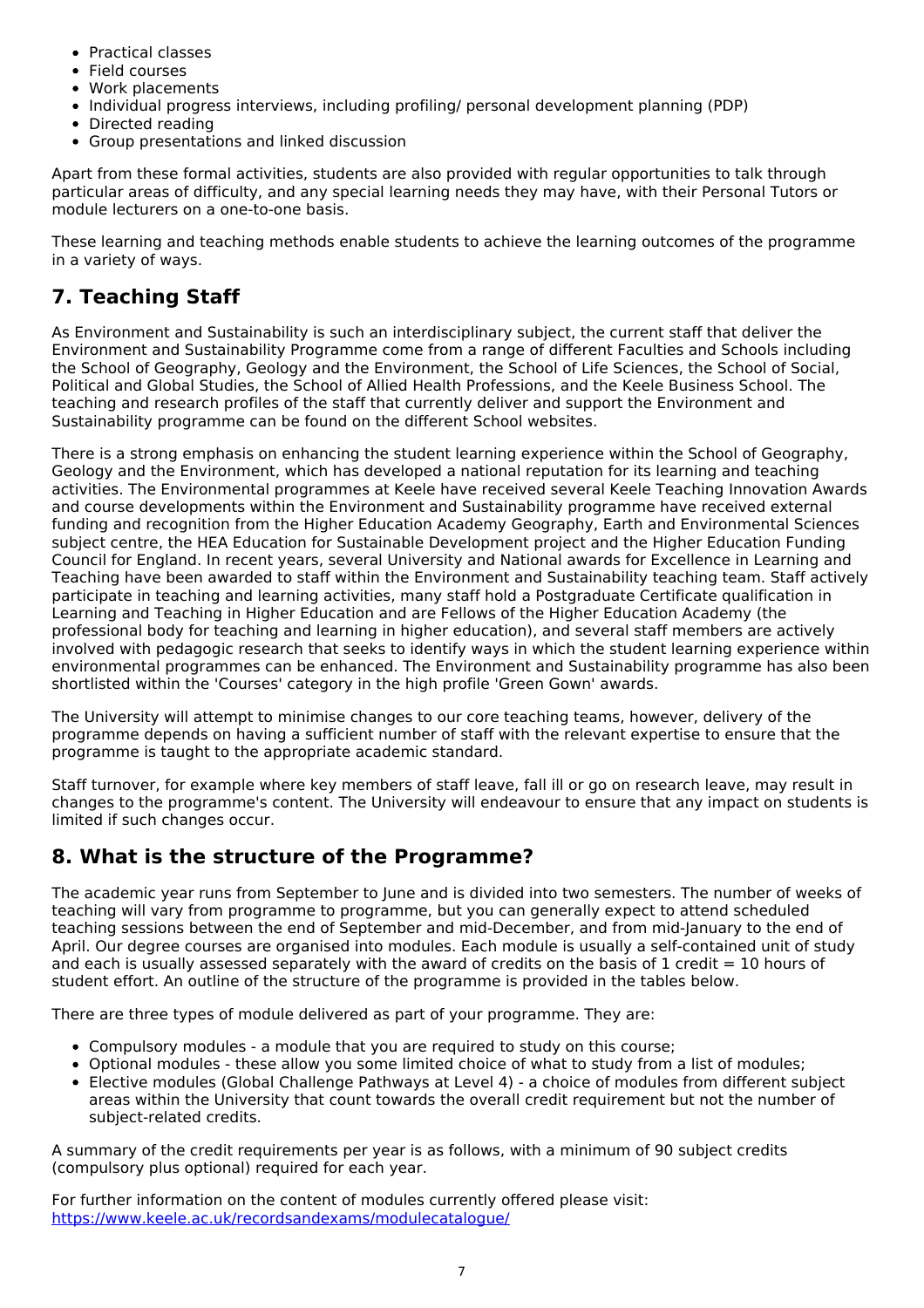- Practical classes
- Field courses
- Work placements
- Individual progress interviews, including profiling/ personal development planning (PDP)
- Directed reading
- Group presentations and linked discussion

Apart from these formal activities, students are also provided with regular opportunities to talk through particular areas of difficulty, and any special learning needs they may have, with their Personal Tutors or module lecturers on a one-to-one basis.

These learning and teaching methods enable students to achieve the learning outcomes of the programme in a variety of ways.

## **7. Teaching Staff**

As Environment and Sustainability is such an interdisciplinary subject, the current staff that deliver the Environment and Sustainability Programme come from a range of different Faculties and Schools including the School of Geography, Geology and the Environment, the School of Life Sciences, the School of Social, Political and Global Studies, the School of Allied Health Professions, and the Keele Business School. The teaching and research profiles of the staff that currently deliver and support the Environment and Sustainability programme can be found on the different School websites.

There is a strong emphasis on enhancing the student learning experience within the School of Geography, Geology and the Environment, which has developed a national reputation for its learning and teaching activities. The Environmental programmes at Keele have received several Keele Teaching Innovation Awards and course developments within the Environment and Sustainability programme have received external funding and recognition from the Higher Education Academy Geography, Earth and Environmental Sciences subject centre, the HEA Education for Sustainable Development project and the Higher Education Funding Council for England. In recent years, several University and National awards for Excellence in Learning and Teaching have been awarded to staff within the Environment and Sustainability teaching team. Staff actively participate in teaching and learning activities, many staff hold a Postgraduate Certificate qualification in Learning and Teaching in Higher Education and are Fellows of the Higher Education Academy (the professional body for teaching and learning in higher education), and several staff members are actively involved with pedagogic research that seeks to identify ways in which the student learning experience within environmental programmes can be enhanced. The Environment and Sustainability programme has also been shortlisted within the 'Courses' category in the high profile 'Green Gown' awards.

The University will attempt to minimise changes to our core teaching teams, however, delivery of the programme depends on having a sufficient number of staff with the relevant expertise to ensure that the programme is taught to the appropriate academic standard.

Staff turnover, for example where key members of staff leave, fall ill or go on research leave, may result in changes to the programme's content. The University will endeavour to ensure that any impact on students is limited if such changes occur.

## **8. What is the structure of the Programme?**

The academic year runs from September to June and is divided into two semesters. The number of weeks of teaching will vary from programme to programme, but you can generally expect to attend scheduled teaching sessions between the end of September and mid-December, and from mid-January to the end of April. Our degree courses are organised into modules. Each module is usually a self-contained unit of study and each is usually assessed separately with the award of credits on the basis of 1 credit  $= 10$  hours of student effort. An outline of the structure of the programme is provided in the tables below.

There are three types of module delivered as part of your programme. They are:

- Compulsory modules a module that you are required to study on this course;
- Optional modules these allow you some limited choice of what to study from a list of modules;
- Elective modules (Global Challenge Pathways at Level 4) a choice of modules from different subject areas within the University that count towards the overall credit requirement but not the number of subject-related credits.

A summary of the credit requirements per year is as follows, with a minimum of 90 subject credits (compulsory plus optional) required for each year.

For further information on the content of modules currently offered please visit: <https://www.keele.ac.uk/recordsandexams/modulecatalogue/>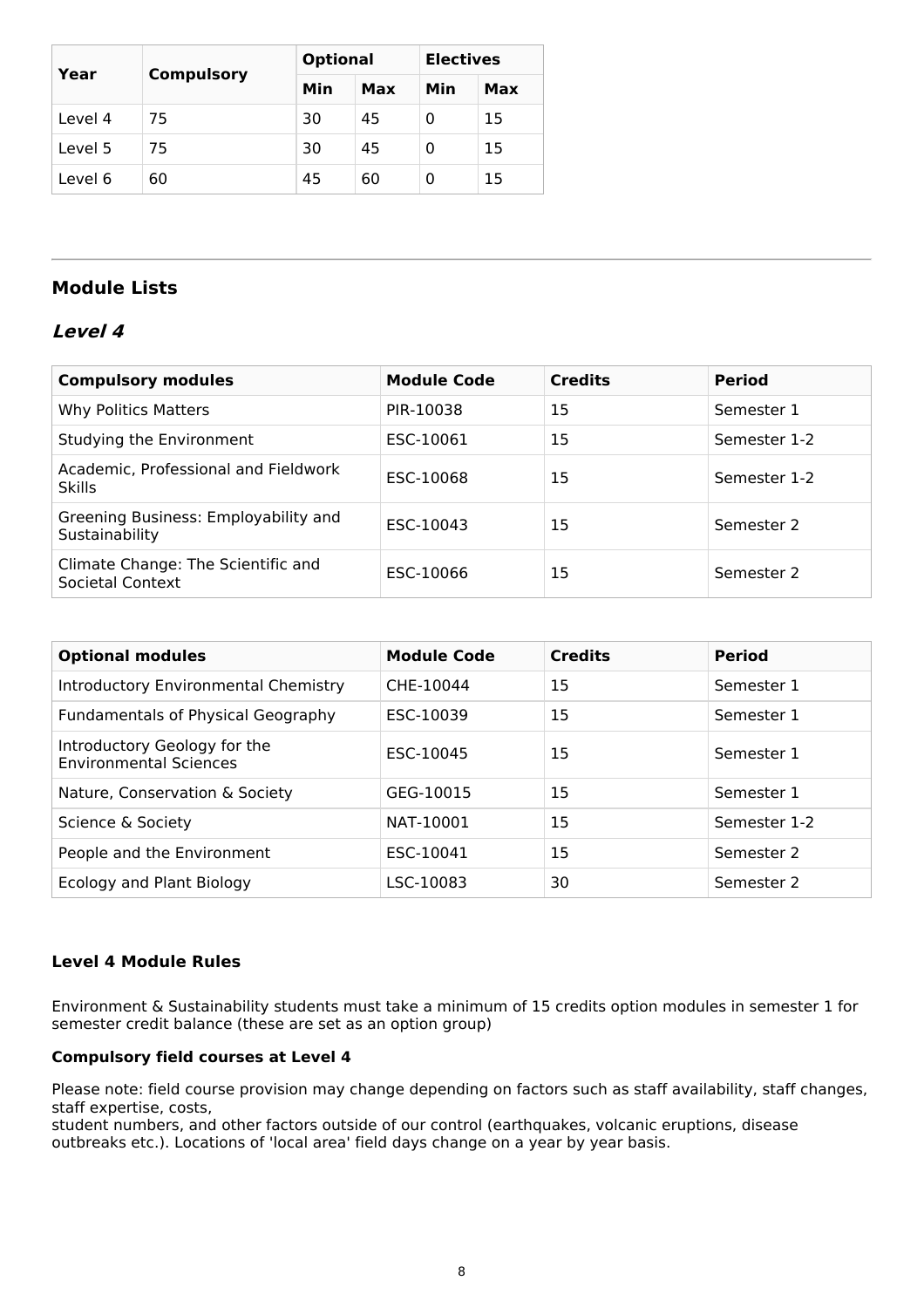| Year    | <b>Compulsory</b> | <b>Optional</b> |     | <b>Electives</b> |     |
|---------|-------------------|-----------------|-----|------------------|-----|
|         |                   | Min             | Max | Min              | Max |
| Level 4 | 75                | 30              | 45  |                  | 15  |
| Level 5 | 75                | 30              | 45  | 0                | 15  |
| Level 6 | 60                | 45              | 60  |                  | 15  |

## **Module Lists**

### **Level 4**

| <b>Compulsory modules</b>                              | <b>Module Code</b> | <b>Credits</b> | <b>Period</b> |
|--------------------------------------------------------|--------------------|----------------|---------------|
| Why Politics Matters                                   | PIR-10038          | 15             | Semester 1    |
| Studying the Environment                               | ESC-10061          | 15             | Semester 1-2  |
| Academic, Professional and Fieldwork<br><b>Skills</b>  | ESC-10068          | 15             | Semester 1-2  |
| Greening Business: Employability and<br>Sustainability | ESC-10043          | 15             | Semester 2    |
| Climate Change: The Scientific and<br>Societal Context | ESC-10066          | 15             | Semester 2    |

| <b>Optional modules</b>                                       | <b>Module Code</b> | <b>Credits</b> | <b>Period</b> |
|---------------------------------------------------------------|--------------------|----------------|---------------|
| Introductory Environmental Chemistry                          | CHE-10044          | 15             | Semester 1    |
| Fundamentals of Physical Geography                            | ESC-10039          | 15             | Semester 1    |
| Introductory Geology for the<br><b>Environmental Sciences</b> | ESC-10045          | 15             | Semester 1    |
| Nature, Conservation & Society                                | GEG-10015          | 15             | Semester 1    |
| Science & Society                                             | NAT-10001          | 15             | Semester 1-2  |
| People and the Environment                                    | ESC-10041          | 15             | Semester 2    |
| Ecology and Plant Biology                                     | LSC-10083          | 30             | Semester 2    |

### **Level 4 Module Rules**

Environment & Sustainability students must take a minimum of 15 credits option modules in semester 1 for semester credit balance (these are set as an option group)

#### **Compulsory field courses at Level 4**

Please note: field course provision may change depending on factors such as staff availability, staff changes, staff expertise, costs,

student numbers, and other factors outside of our control (earthquakes, volcanic eruptions, disease outbreaks etc.). Locations of 'local area' field days change on a year by year basis.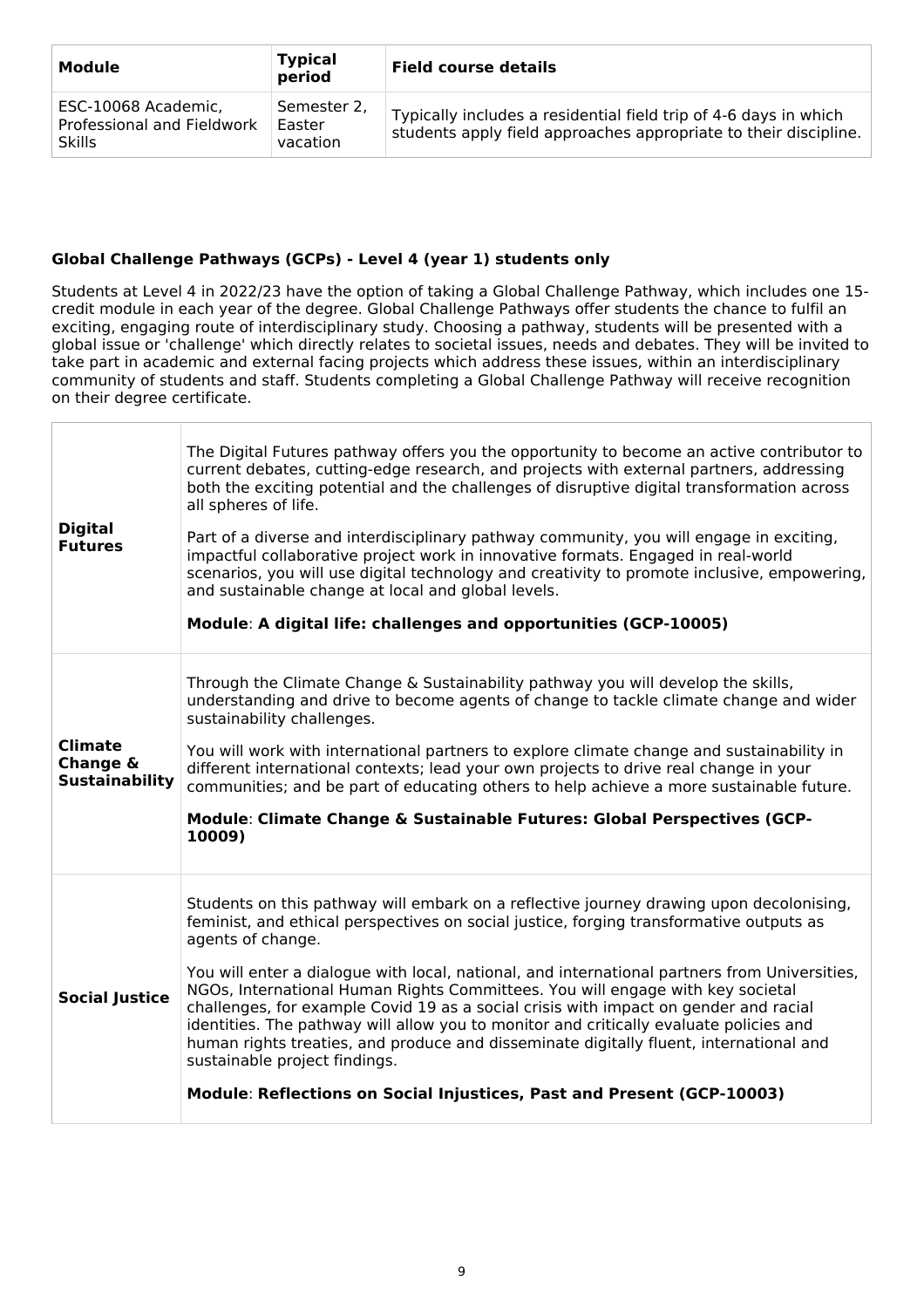| Module                                                             | <b>Typical</b><br>period          | <b>Field course details</b>                                                                                                          |
|--------------------------------------------------------------------|-----------------------------------|--------------------------------------------------------------------------------------------------------------------------------------|
| ESC-10068 Academic,<br>Professional and Fieldwork<br><b>Skills</b> | Semester 2.<br>Easter<br>vacation | Typically includes a residential field trip of 4-6 days in which<br>students apply field approaches appropriate to their discipline. |

### **Global Challenge Pathways (GCPs) - Level 4 (year 1) students only**

Students at Level 4 in 2022/23 have the option of taking a Global Challenge Pathway, which includes one 15 credit module in each year of the degree. Global Challenge Pathways offer students the chance to fulfil an exciting, engaging route of interdisciplinary study. Choosing a pathway, students will be presented with a global issue or 'challenge' which directly relates to societal issues, needs and debates. They will be invited to take part in academic and external facing projects which address these issues, within an interdisciplinary community of students and staff. Students completing a Global Challenge Pathway will receive recognition on their degree certificate.

| <b>Digital</b><br><b>Futures</b>                    | The Digital Futures pathway offers you the opportunity to become an active contributor to<br>current debates, cutting-edge research, and projects with external partners, addressing<br>both the exciting potential and the challenges of disruptive digital transformation across<br>all spheres of life.<br>Part of a diverse and interdisciplinary pathway community, you will engage in exciting,<br>impactful collaborative project work in innovative formats. Engaged in real-world<br>scenarios, you will use digital technology and creativity to promote inclusive, empowering,<br>and sustainable change at local and global levels.<br>Module: A digital life: challenges and opportunities (GCP-10005)                                                               |
|-----------------------------------------------------|-----------------------------------------------------------------------------------------------------------------------------------------------------------------------------------------------------------------------------------------------------------------------------------------------------------------------------------------------------------------------------------------------------------------------------------------------------------------------------------------------------------------------------------------------------------------------------------------------------------------------------------------------------------------------------------------------------------------------------------------------------------------------------------|
| <b>Climate</b><br>Change &<br><b>Sustainability</b> | Through the Climate Change & Sustainability pathway you will develop the skills,<br>understanding and drive to become agents of change to tackle climate change and wider<br>sustainability challenges.<br>You will work with international partners to explore climate change and sustainability in<br>different international contexts; lead your own projects to drive real change in your<br>communities; and be part of educating others to help achieve a more sustainable future.<br>Module: Climate Change & Sustainable Futures: Global Perspectives (GCP-<br>10009)                                                                                                                                                                                                     |
| <b>Social Justice</b>                               | Students on this pathway will embark on a reflective journey drawing upon decolonising,<br>feminist, and ethical perspectives on social justice, forging transformative outputs as<br>agents of change.<br>You will enter a dialogue with local, national, and international partners from Universities,<br>NGOs, International Human Rights Committees. You will engage with key societal<br>challenges, for example Covid 19 as a social crisis with impact on gender and racial<br>identities. The pathway will allow you to monitor and critically evaluate policies and<br>human rights treaties, and produce and disseminate digitally fluent, international and<br>sustainable project findings.<br>Module: Reflections on Social Injustices, Past and Present (GCP-10003) |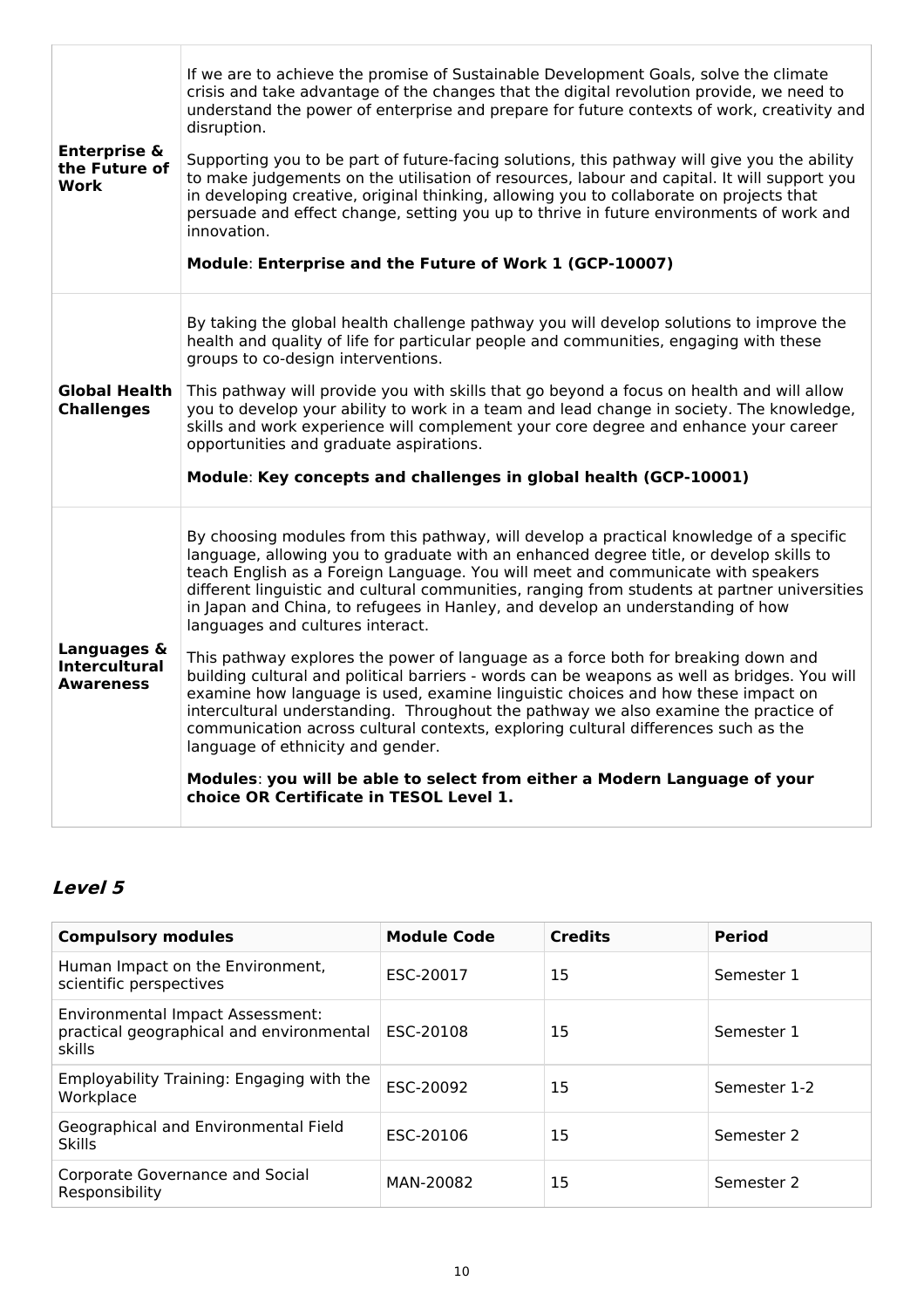| <b>Enterprise &amp;</b><br>the Future of<br>Work        | If we are to achieve the promise of Sustainable Development Goals, solve the climate<br>crisis and take advantage of the changes that the digital revolution provide, we need to<br>understand the power of enterprise and prepare for future contexts of work, creativity and<br>disruption.<br>Supporting you to be part of future-facing solutions, this pathway will give you the ability<br>to make judgements on the utilisation of resources, labour and capital. It will support you<br>in developing creative, original thinking, allowing you to collaborate on projects that<br>persuade and effect change, setting you up to thrive in future environments of work and<br>innovation.<br>Module: Enterprise and the Future of Work 1 (GCP-10007)                                                                                                                                                                                                                                                                                                                                                   |
|---------------------------------------------------------|----------------------------------------------------------------------------------------------------------------------------------------------------------------------------------------------------------------------------------------------------------------------------------------------------------------------------------------------------------------------------------------------------------------------------------------------------------------------------------------------------------------------------------------------------------------------------------------------------------------------------------------------------------------------------------------------------------------------------------------------------------------------------------------------------------------------------------------------------------------------------------------------------------------------------------------------------------------------------------------------------------------------------------------------------------------------------------------------------------------|
| Global Health<br><b>Challenges</b>                      | By taking the global health challenge pathway you will develop solutions to improve the<br>health and quality of life for particular people and communities, engaging with these<br>groups to co-design interventions.<br>This pathway will provide you with skills that go beyond a focus on health and will allow<br>you to develop your ability to work in a team and lead change in society. The knowledge,<br>skills and work experience will complement your core degree and enhance your career<br>opportunities and graduate aspirations.<br>Module: Key concepts and challenges in global health (GCP-10001)                                                                                                                                                                                                                                                                                                                                                                                                                                                                                          |
| Languages &<br><b>Intercultural</b><br><b>Awareness</b> | By choosing modules from this pathway, will develop a practical knowledge of a specific<br>language, allowing you to graduate with an enhanced degree title, or develop skills to<br>teach English as a Foreign Language. You will meet and communicate with speakers<br>different linguistic and cultural communities, ranging from students at partner universities<br>in Japan and China, to refugees in Hanley, and develop an understanding of how<br>languages and cultures interact.<br>This pathway explores the power of language as a force both for breaking down and<br>building cultural and political barriers - words can be weapons as well as bridges. You will<br>examine how language is used, examine linguistic choices and how these impact on<br>intercultural understanding. Throughout the pathway we also examine the practice of<br>communication across cultural contexts, exploring cultural differences such as the<br>language of ethnicity and gender.<br>Modules: you will be able to select from either a Modern Language of your<br>choice OR Certificate in TESOL Level 1. |

## **Level 5**

| <b>Compulsory modules</b>                                                                     | <b>Module Code</b> | <b>Credits</b> | <b>Period</b> |
|-----------------------------------------------------------------------------------------------|--------------------|----------------|---------------|
| Human Impact on the Environment,<br>scientific perspectives                                   | ESC-20017          | 15             | Semester 1    |
| <b>Environmental Impact Assessment:</b><br>practical geographical and environmental<br>skills | ESC-20108          | 15             | Semester 1    |
| Employability Training: Engaging with the<br>Workplace                                        | ESC-20092          | 15             | Semester 1-2  |
| Geographical and Environmental Field<br><b>Skills</b>                                         | ESC-20106          | 15             | Semester 2    |
| Corporate Governance and Social<br>Responsibility                                             | MAN-20082          | 15             | Semester 2    |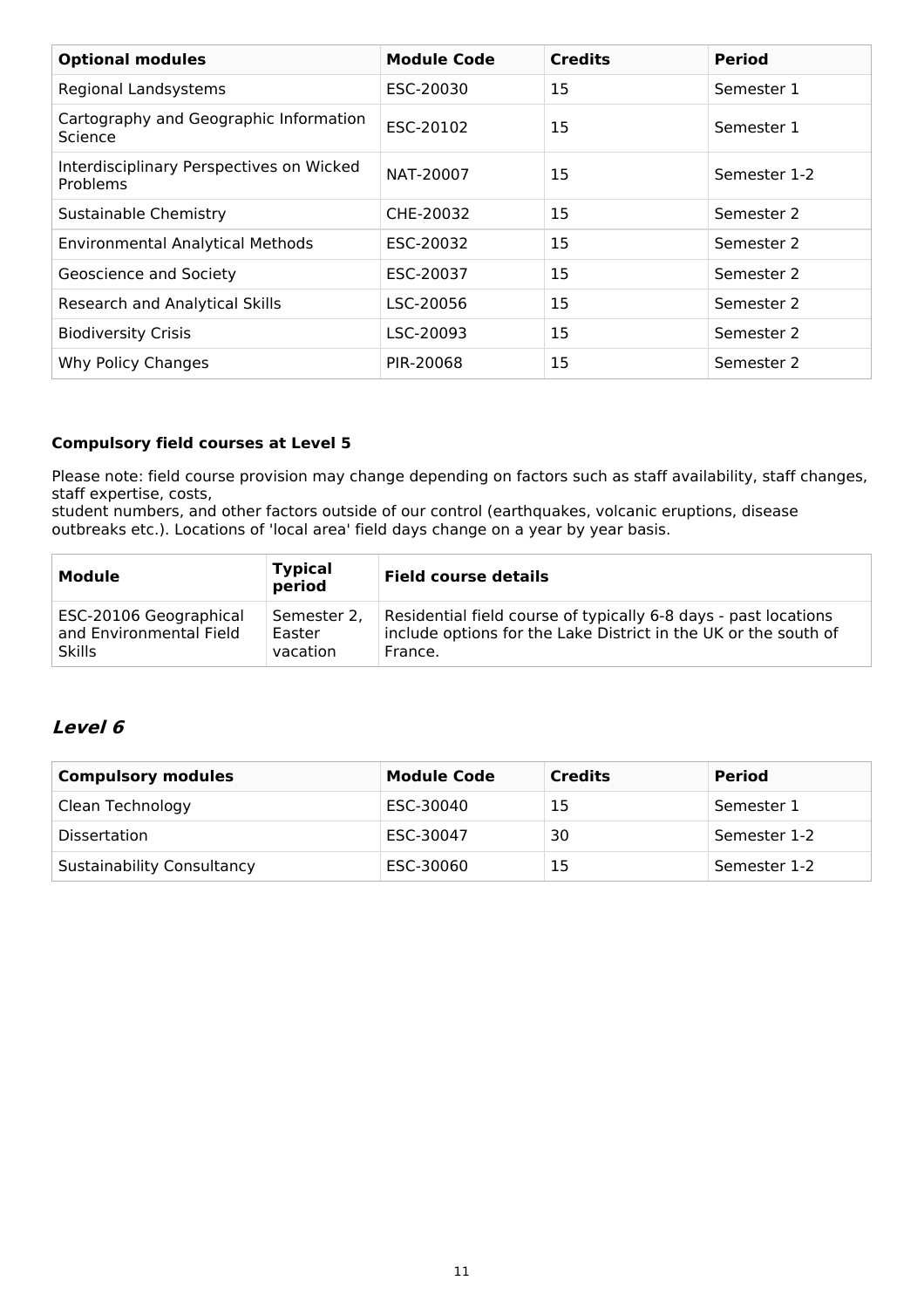| <b>Optional modules</b>                              | <b>Module Code</b> | <b>Credits</b> | <b>Period</b> |
|------------------------------------------------------|--------------------|----------------|---------------|
| Regional Landsystems                                 | ESC-20030          | 15             | Semester 1    |
| Cartography and Geographic Information<br>Science    | ESC-20102          | 15             | Semester 1    |
| Interdisciplinary Perspectives on Wicked<br>Problems | NAT-20007          | 15             | Semester 1-2  |
| Sustainable Chemistry                                | CHE-20032          | 15             | Semester 2    |
| <b>Environmental Analytical Methods</b>              | ESC-20032          | 15             | Semester 2    |
| Geoscience and Society                               | ESC-20037          | 15             | Semester 2    |
| Research and Analytical Skills                       | LSC-20056          | 15             | Semester 2    |
| <b>Biodiversity Crisis</b>                           | LSC-20093          | 15             | Semester 2    |
| Why Policy Changes                                   | PIR-20068          | 15             | Semester 2    |

### **Compulsory field courses at Level 5**

Please note: field course provision may change depending on factors such as staff availability, staff changes, staff expertise, costs,

student numbers, and other factors outside of our control (earthquakes, volcanic eruptions, disease outbreaks etc.). Locations of 'local area' field days change on a year by year basis.

| Module                  | <b>Typical</b><br>period | <b>Field course details</b>                                     |
|-------------------------|--------------------------|-----------------------------------------------------------------|
| ESC-20106 Geographical  | Semester 2,              | Residential field course of typically 6-8 days - past locations |
| and Environmental Field | Easter                   | include options for the Lake District in the UK or the south of |
| <b>Skills</b>           | vacation                 | France.                                                         |

## **Level 6**

| <b>Compulsory modules</b>         | <b>Module Code</b> | <b>Credits</b> | <b>Period</b> |
|-----------------------------------|--------------------|----------------|---------------|
| Clean Technology                  | ESC-30040          | 15             | Semester 1    |
| Dissertation                      | ESC-30047          | 30             | Semester 1-2  |
| <b>Sustainability Consultancy</b> | ESC-30060          | 15             | Semester 1-2  |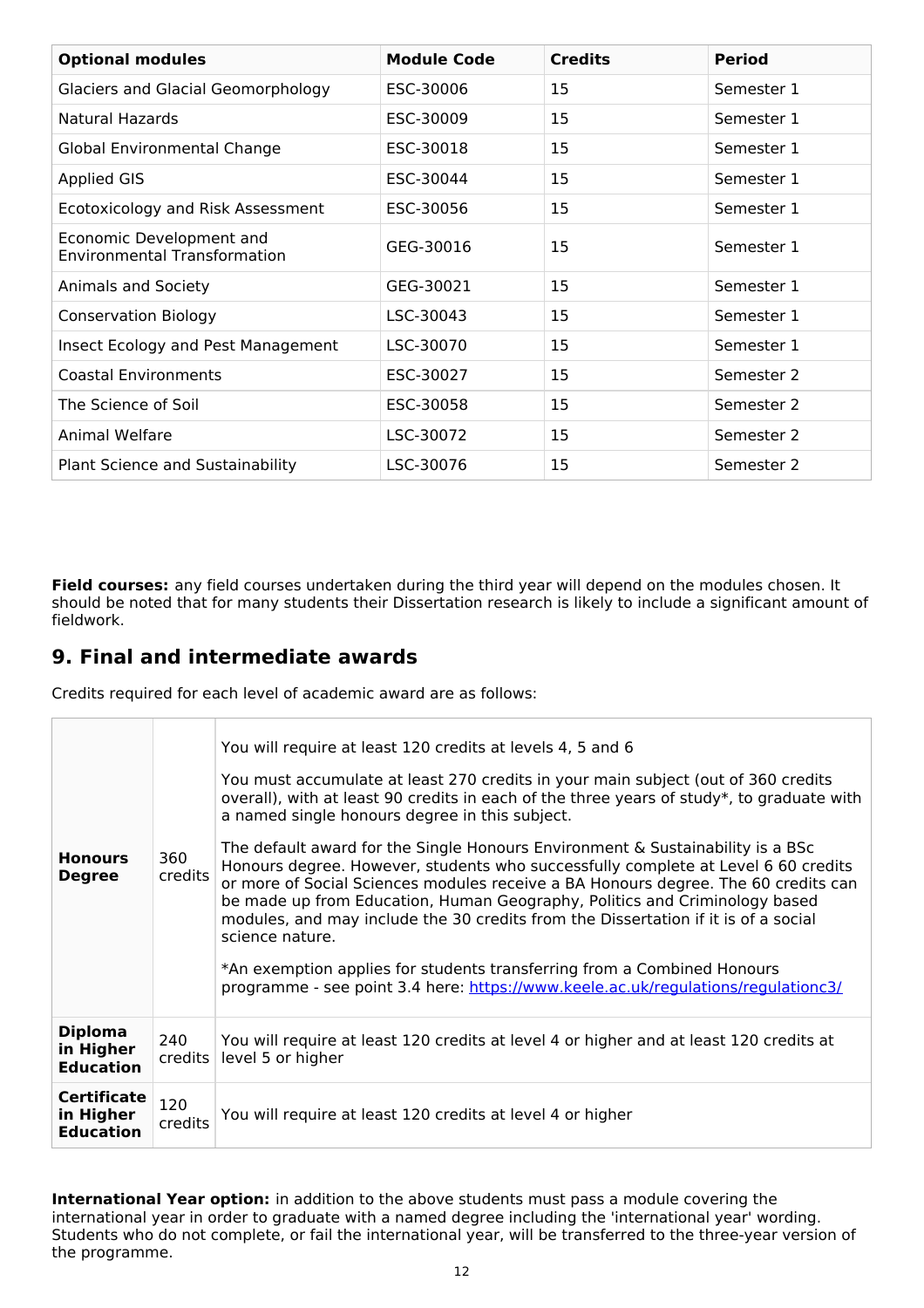| <b>Optional modules</b>                                         | <b>Module Code</b> | <b>Credits</b> | <b>Period</b> |
|-----------------------------------------------------------------|--------------------|----------------|---------------|
| <b>Glaciers and Glacial Geomorphology</b>                       | ESC-30006          | 15             | Semester 1    |
| Natural Hazards                                                 | ESC-30009          | 15             | Semester 1    |
| <b>Global Environmental Change</b>                              | ESC-30018          | 15             | Semester 1    |
| <b>Applied GIS</b>                                              | ESC-30044          | 15             | Semester 1    |
| Ecotoxicology and Risk Assessment                               | ESC-30056          | 15             | Semester 1    |
| Economic Development and<br><b>Environmental Transformation</b> | GEG-30016          | 15             | Semester 1    |
| Animals and Society                                             | GEG-30021          | 15             | Semester 1    |
| <b>Conservation Biology</b>                                     | LSC-30043          | 15             | Semester 1    |
| Insect Ecology and Pest Management                              | LSC-30070          | 15             | Semester 1    |
| <b>Coastal Environments</b>                                     | ESC-30027          | 15             | Semester 2    |
| The Science of Soil                                             | ESC-30058          | 15             | Semester 2    |
| Animal Welfare                                                  | LSC-30072          | 15             | Semester 2    |
| Plant Science and Sustainability                                | LSC-30076          | 15             | Semester 2    |

**Field courses:** any field courses undertaken during the third year will depend on the modules chosen. It should be noted that for many students their Dissertation research is likely to include a significant amount of fieldwork.

## **9. Final and intermediate awards**

Credits required for each level of academic award are as follows:

| <b>Honours</b><br><b>Degree</b>                     | 360<br><b>credits</b> | You will require at least 120 credits at levels 4, 5 and 6<br>You must accumulate at least 270 credits in your main subject (out of 360 credits<br>overall), with at least 90 credits in each of the three years of study*, to graduate with<br>a named single honours degree in this subject.<br>The default award for the Single Honours Environment & Sustainability is a BSc<br>Honours degree. However, students who successfully complete at Level 6 60 credits<br>or more of Social Sciences modules receive a BA Honours degree. The 60 credits can<br>be made up from Education, Human Geography, Politics and Criminology based<br>modules, and may include the 30 credits from the Dissertation if it is of a social<br>science nature.<br>*An exemption applies for students transferring from a Combined Honours<br>programme - see point 3.4 here: https://www.keele.ac.uk/regulations/regulationc3/ |
|-----------------------------------------------------|-----------------------|--------------------------------------------------------------------------------------------------------------------------------------------------------------------------------------------------------------------------------------------------------------------------------------------------------------------------------------------------------------------------------------------------------------------------------------------------------------------------------------------------------------------------------------------------------------------------------------------------------------------------------------------------------------------------------------------------------------------------------------------------------------------------------------------------------------------------------------------------------------------------------------------------------------------|
| <b>Diploma</b><br>in Higher<br><b>Education</b>     | 240<br>credits        | You will require at least 120 credits at level 4 or higher and at least 120 credits at<br>level 5 or higher                                                                                                                                                                                                                                                                                                                                                                                                                                                                                                                                                                                                                                                                                                                                                                                                        |
| <b>Certificate</b><br>in Higher<br><b>Education</b> | 120<br>credits        | You will require at least 120 credits at level 4 or higher                                                                                                                                                                                                                                                                                                                                                                                                                                                                                                                                                                                                                                                                                                                                                                                                                                                         |

**International Year option:** in addition to the above students must pass a module covering the international year in order to graduate with a named degree including the 'international year' wording. Students who do not complete, or fail the international year, will be transferred to the three-year version of the programme.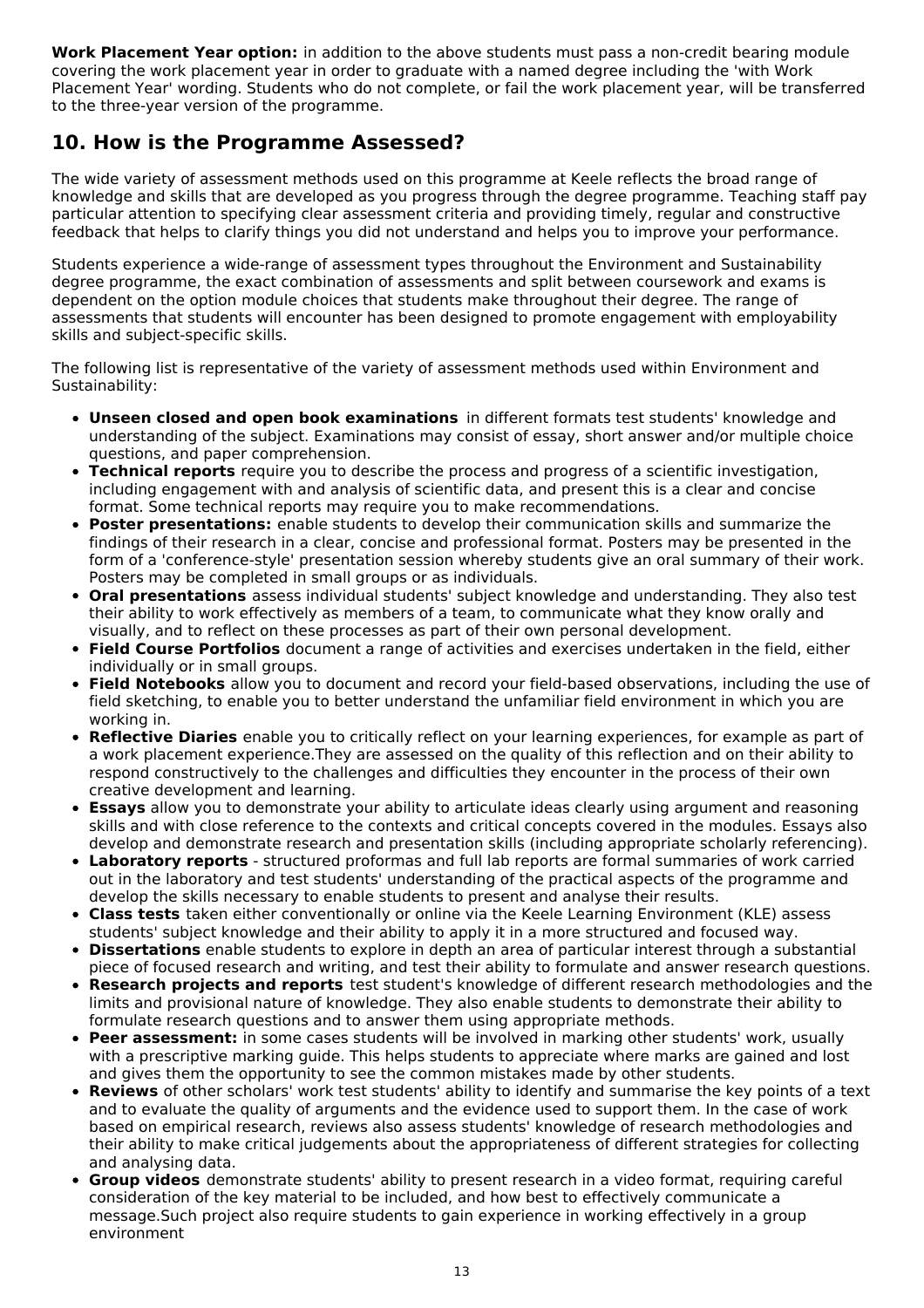**Work Placement Year option:** in addition to the above students must pass a non-credit bearing module covering the work placement year in order to graduate with a named degree including the 'with Work Placement Year' wording. Students who do not complete, or fail the work placement year, will be transferred to the three-year version of the programme.

## **10. How is the Programme Assessed?**

The wide variety of assessment methods used on this programme at Keele reflects the broad range of knowledge and skills that are developed as you progress through the degree programme. Teaching staff pay particular attention to specifying clear assessment criteria and providing timely, regular and constructive feedback that helps to clarify things you did not understand and helps you to improve your performance.

Students experience a wide-range of assessment types throughout the Environment and Sustainability degree programme, the exact combination of assessments and split between coursework and exams is dependent on the option module choices that students make throughout their degree. The range of assessments that students will encounter has been designed to promote engagement with employability skills and subject-specific skills.

The following list is representative of the variety of assessment methods used within Environment and Sustainability:

- **Unseen closed and open book examinations** in different formats test students' knowledge and understanding of the subject. Examinations may consist of essay, short answer and/or multiple choice questions, and paper comprehension.
- **Technical reports** require you to describe the process and progress of a scientific investigation, including engagement with and analysis of scientific data, and present this is a clear and concise format. Some technical reports may require you to make recommendations.
- **Poster presentations:** enable students to develop their communication skills and summarize the  $\bullet$ findings of their research in a clear, concise and professional format. Posters may be presented in the form of a 'conference-style' presentation session whereby students give an oral summary of their work. Posters may be completed in small groups or as individuals.
- **Oral presentations** assess individual students' subject knowledge and understanding. They also test  $\bullet$ their ability to work effectively as members of a team, to communicate what they know orally and visually, and to reflect on these processes as part of their own personal development.
- **Field Course Portfolios** document a range of activities and exercises undertaken in the field, either individually or in small groups.
- **Field Notebooks** allow you to document and record your field-based observations, including the use of field sketching, to enable you to better understand the unfamiliar field environment in which you are working in.
- **Reflective Diaries** enable you to critically reflect on your learning experiences, for example as part of a work placement experience.They are assessed on the quality of this reflection and on their ability to respond constructively to the challenges and difficulties they encounter in the process of their own creative development and learning.
- **Essays** allow you to demonstrate your ability to articulate ideas clearly using argument and reasoning skills and with close reference to the contexts and critical concepts covered in the modules. Essays also develop and demonstrate research and presentation skills (including appropriate scholarly referencing).
- **Laboratory reports** structured proformas and full lab reports are formal summaries of work carried out in the laboratory and test students' understanding of the practical aspects of the programme and develop the skills necessary to enable students to present and analyse their results.
- **Class tests** taken either conventionally or online via the Keele Learning Environment (KLE) assess students' subject knowledge and their ability to apply it in a more structured and focused way.
- **Dissertations** enable students to explore in depth an area of particular interest through a substantial piece of focused research and writing, and test their ability to formulate and answer research questions.
- **Research projects and reports** test student's knowledge of different research methodologies and the limits and provisional nature of knowledge. They also enable students to demonstrate their ability to formulate research questions and to answer them using appropriate methods.
- **Peer assessment:** in some cases students will be involved in marking other students' work, usually with a prescriptive marking guide. This helps students to appreciate where marks are gained and lost and gives them the opportunity to see the common mistakes made by other students.
- **Reviews** of other scholars' work test students' ability to identify and summarise the key points of a text and to evaluate the quality of arguments and the evidence used to support them. In the case of work based on empirical research, reviews also assess students' knowledge of research methodologies and their ability to make critical judgements about the appropriateness of different strategies for collecting and analysing data.
- **Group videos** demonstrate students' ability to present research in a video format, requiring careful consideration of the key material to be included, and how best to effectively communicate a message.Such project also require students to gain experience in working effectively in a group environment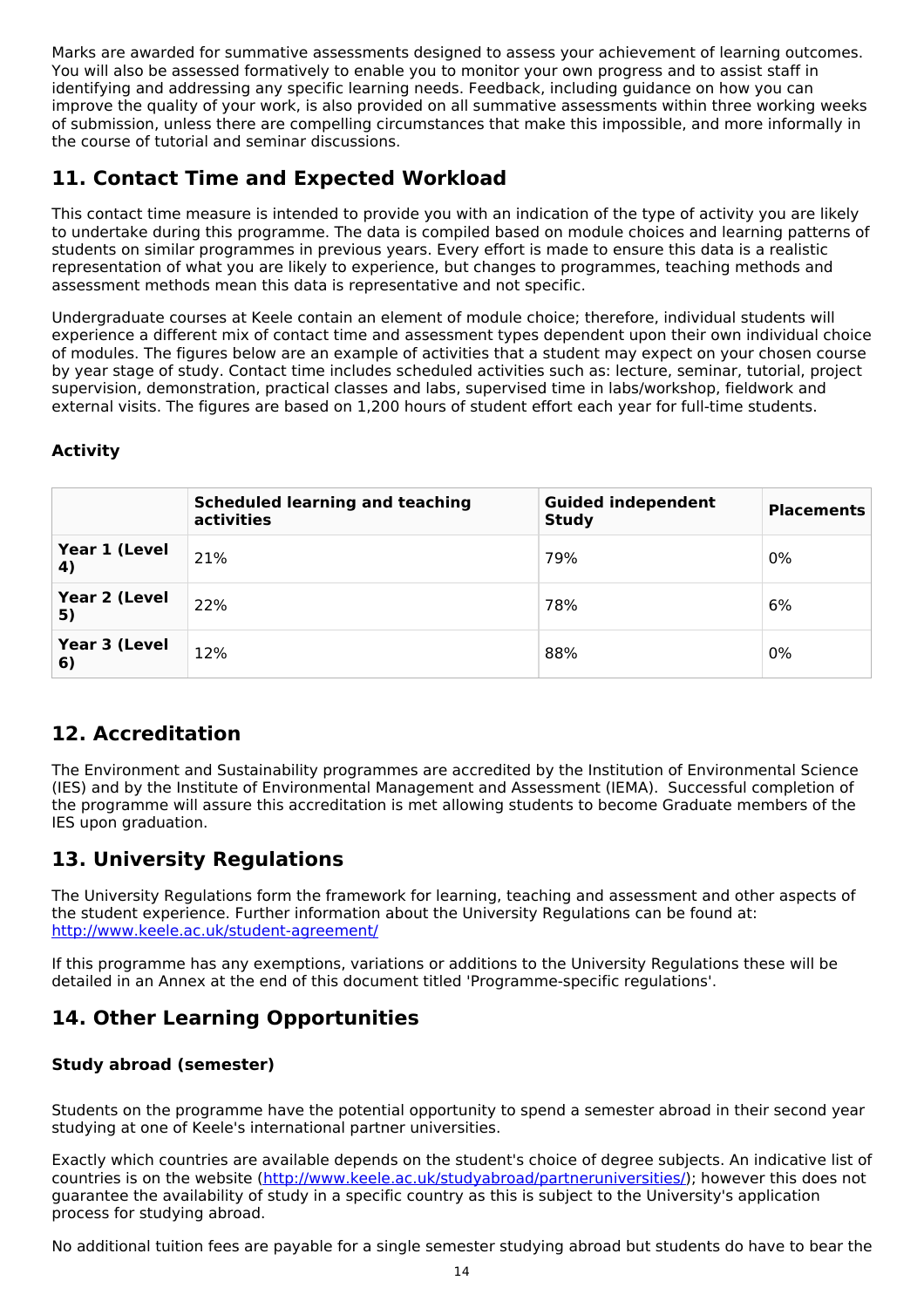Marks are awarded for summative assessments designed to assess your achievement of learning outcomes. You will also be assessed formatively to enable you to monitor your own progress and to assist staff in identifying and addressing any specific learning needs. Feedback, including guidance on how you can improve the quality of your work, is also provided on all summative assessments within three working weeks of submission, unless there are compelling circumstances that make this impossible, and more informally in the course of tutorial and seminar discussions.

## **11. Contact Time and Expected Workload**

This contact time measure is intended to provide you with an indication of the type of activity you are likely to undertake during this programme. The data is compiled based on module choices and learning patterns of students on similar programmes in previous years. Every effort is made to ensure this data is a realistic representation of what you are likely to experience, but changes to programmes, teaching methods and assessment methods mean this data is representative and not specific.

Undergraduate courses at Keele contain an element of module choice; therefore, individual students will experience a different mix of contact time and assessment types dependent upon their own individual choice of modules. The figures below are an example of activities that a student may expect on your chosen course by year stage of study. Contact time includes scheduled activities such as: lecture, seminar, tutorial, project supervision, demonstration, practical classes and labs, supervised time in labs/workshop, fieldwork and external visits. The figures are based on 1,200 hours of student effort each year for full-time students.

### **Activity**

|                     | <b>Scheduled learning and teaching</b><br>activities | <b>Guided independent</b><br><b>Study</b> | <b>Placements</b> |
|---------------------|------------------------------------------------------|-------------------------------------------|-------------------|
| Year 1 (Level<br>4) | 21%                                                  | 79%                                       | 0%                |
| Year 2 (Level<br>5) | 22%                                                  | 78%                                       | 6%                |
| Year 3 (Level<br>6) | 12%                                                  | 88%                                       | 0%                |

## **12. Accreditation**

The Environment and Sustainability programmes are accredited by the Institution of Environmental Science (IES) and by the Institute of Environmental Management and Assessment (IEMA). Successful completion of the programme will assure this accreditation is met allowing students to become Graduate members of the IES upon graduation.

## **13. University Regulations**

The University Regulations form the framework for learning, teaching and assessment and other aspects of the student experience. Further information about the University Regulations can be found at: <http://www.keele.ac.uk/student-agreement/>

If this programme has any exemptions, variations or additions to the University Regulations these will be detailed in an Annex at the end of this document titled 'Programme-specific regulations'.

## **14. Other Learning Opportunities**

### **Study abroad (semester)**

Students on the programme have the potential opportunity to spend a semester abroad in their second year studying at one of Keele's international partner universities.

Exactly which countries are available depends on the student's choice of degree subjects. An indicative list of countries is on the website (<http://www.keele.ac.uk/studyabroad/partneruniversities/>); however this does not guarantee the availability of study in a specific country as this is subject to the University's application process for studying abroad.

No additional tuition fees are payable for a single semester studying abroad but students do have to bear the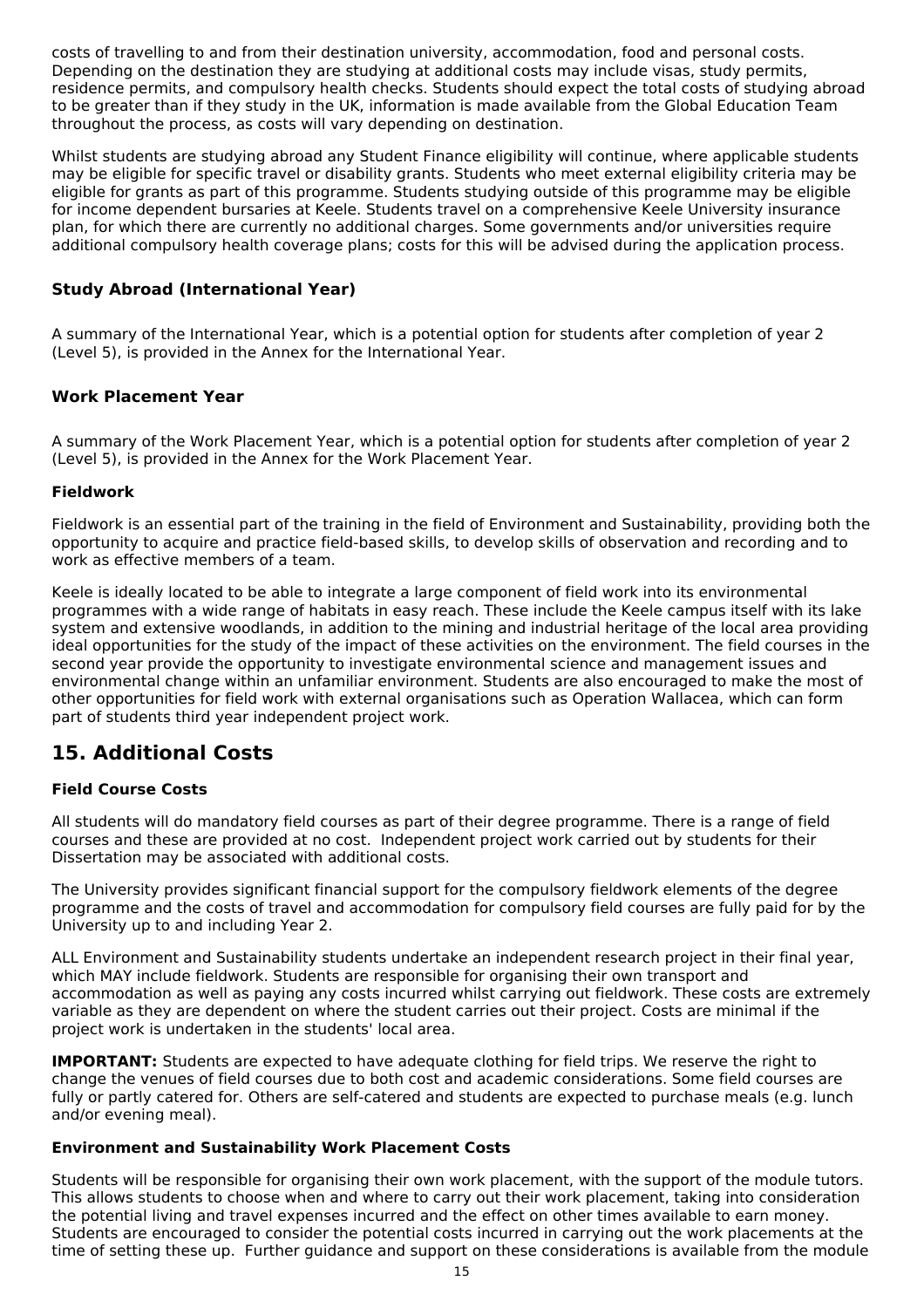costs of travelling to and from their destination university, accommodation, food and personal costs. Depending on the destination they are studying at additional costs may include visas, study permits, residence permits, and compulsory health checks. Students should expect the total costs of studying abroad to be greater than if they study in the UK, information is made available from the Global Education Team throughout the process, as costs will vary depending on destination.

Whilst students are studying abroad any Student Finance eligibility will continue, where applicable students may be eligible for specific travel or disability grants. Students who meet external eligibility criteria may be eligible for grants as part of this programme. Students studying outside of this programme may be eligible for income dependent bursaries at Keele. Students travel on a comprehensive Keele University insurance plan, for which there are currently no additional charges. Some governments and/or universities require additional compulsory health coverage plans; costs for this will be advised during the application process.

### **Study Abroad (International Year)**

A summary of the International Year, which is a potential option for students after completion of year 2 (Level 5), is provided in the Annex for the International Year.

### **Work Placement Year**

A summary of the Work Placement Year, which is a potential option for students after completion of year 2 (Level 5), is provided in the Annex for the Work Placement Year.

#### **Fieldwork**

Fieldwork is an essential part of the training in the field of Environment and Sustainability, providing both the opportunity to acquire and practice field-based skills, to develop skills of observation and recording and to work as effective members of a team.

Keele is ideally located to be able to integrate a large component of field work into its environmental programmes with a wide range of habitats in easy reach. These include the Keele campus itself with its lake system and extensive woodlands, in addition to the mining and industrial heritage of the local area providing ideal opportunities for the study of the impact of these activities on the environment. The field courses in the second year provide the opportunity to investigate environmental science and management issues and environmental change within an unfamiliar environment. Students are also encouraged to make the most of other opportunities for field work with external organisations such as Operation Wallacea, which can form part of students third year independent project work.

## **15. Additional Costs**

#### **Field Course Costs**

All students will do mandatory field courses as part of their degree programme. There is a range of field courses and these are provided at no cost. Independent project work carried out by students for their Dissertation may be associated with additional costs.

The University provides significant financial support for the compulsory fieldwork elements of the degree programme and the costs of travel and accommodation for compulsory field courses are fully paid for by the University up to and including Year 2.

ALL Environment and Sustainability students undertake an independent research project in their final year, which MAY include fieldwork. Students are responsible for organising their own transport and accommodation as well as paying any costs incurred whilst carrying out fieldwork. These costs are extremely variable as they are dependent on where the student carries out their project. Costs are minimal if the project work is undertaken in the students' local area.

**IMPORTANT:** Students are expected to have adequate clothing for field trips. We reserve the right to change the venues of field courses due to both cost and academic considerations. Some field courses are fully or partly catered for. Others are self-catered and students are expected to purchase meals (e.g. lunch and/or evening meal).

#### **Environment and Sustainability Work Placement Costs**

Students will be responsible for organising their own work placement, with the support of the module tutors. This allows students to choose when and where to carry out their work placement, taking into consideration the potential living and travel expenses incurred and the effect on other times available to earn money. Students are encouraged to consider the potential costs incurred in carrying out the work placements at the time of setting these up. Further guidance and support on these considerations is available from the module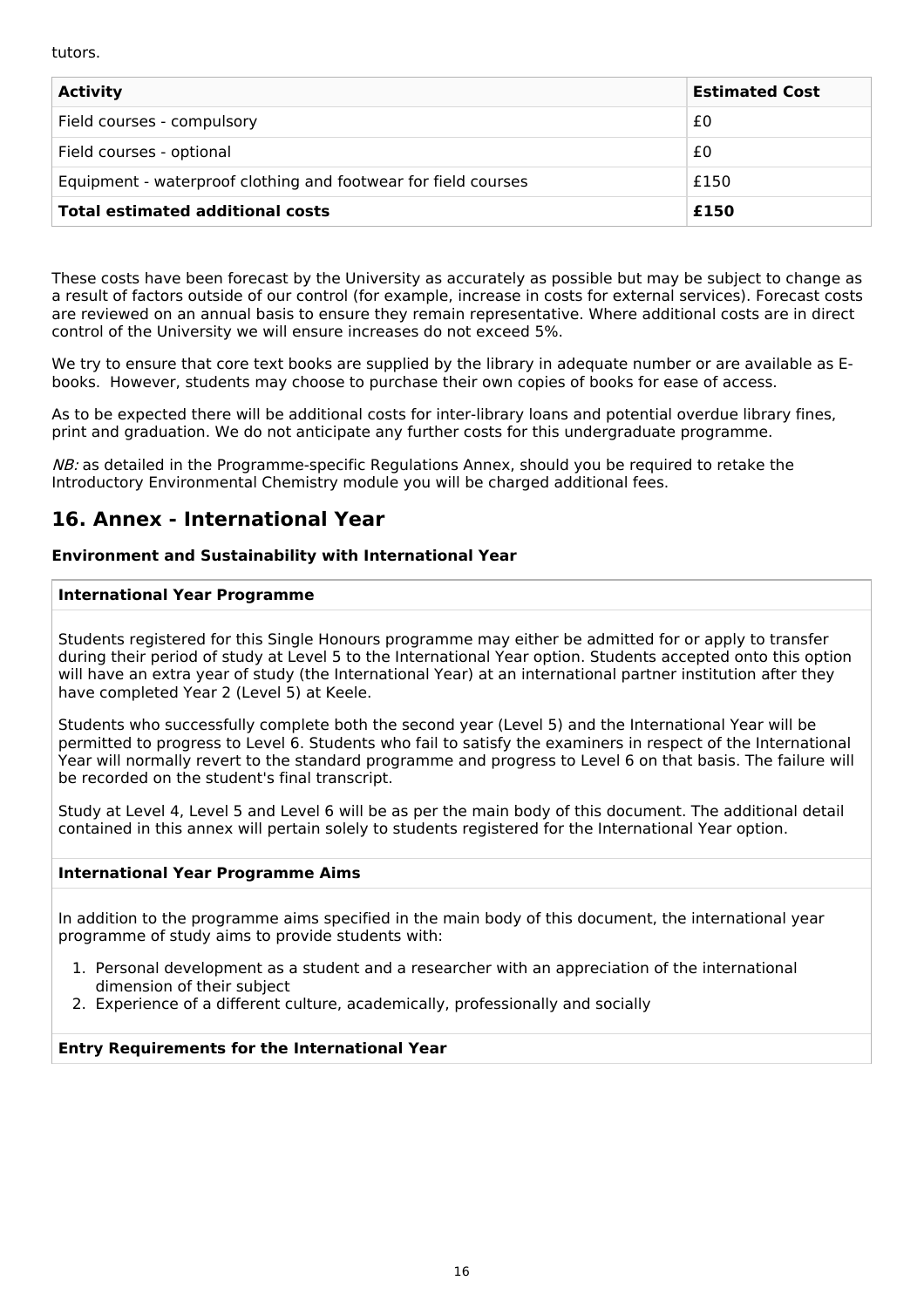tutors.

| <b>Activity</b>                                                | <b>Estimated Cost</b> |
|----------------------------------------------------------------|-----------------------|
| Field courses - compulsory                                     | £0.                   |
| Field courses - optional                                       | £0                    |
| Equipment - waterproof clothing and footwear for field courses | £150                  |
| <b>Total estimated additional costs</b>                        | £150                  |

These costs have been forecast by the University as accurately as possible but may be subject to change as a result of factors outside of our control (for example, increase in costs for external services). Forecast costs are reviewed on an annual basis to ensure they remain representative. Where additional costs are in direct control of the University we will ensure increases do not exceed 5%.

We try to ensure that core text books are supplied by the library in adequate number or are available as Ebooks. However, students may choose to purchase their own copies of books for ease of access.

As to be expected there will be additional costs for inter-library loans and potential overdue library fines, print and graduation. We do not anticipate any further costs for this undergraduate programme.

NB: as detailed in the Programme-specific Regulations Annex, should you be reguired to retake the Introductory Environmental Chemistry module you will be charged additional fees.

## **16. Annex - International Year**

#### **Environment and Sustainability with International Year**

#### **International Year Programme**

Students registered for this Single Honours programme may either be admitted for or apply to transfer during their period of study at Level 5 to the International Year option. Students accepted onto this option will have an extra year of study (the International Year) at an international partner institution after they have completed Year 2 (Level 5) at Keele.

Students who successfully complete both the second year (Level 5) and the International Year will be permitted to progress to Level 6. Students who fail to satisfy the examiners in respect of the International Year will normally revert to the standard programme and progress to Level 6 on that basis. The failure will be recorded on the student's final transcript.

Study at Level 4, Level 5 and Level 6 will be as per the main body of this document. The additional detail contained in this annex will pertain solely to students registered for the International Year option.

#### **International Year Programme Aims**

In addition to the programme aims specified in the main body of this document, the international year programme of study aims to provide students with:

- 1. Personal development as a student and a researcher with an appreciation of the international dimension of their subject
- 2. Experience of a different culture, academically, professionally and socially

#### **Entry Requirements for the International Year**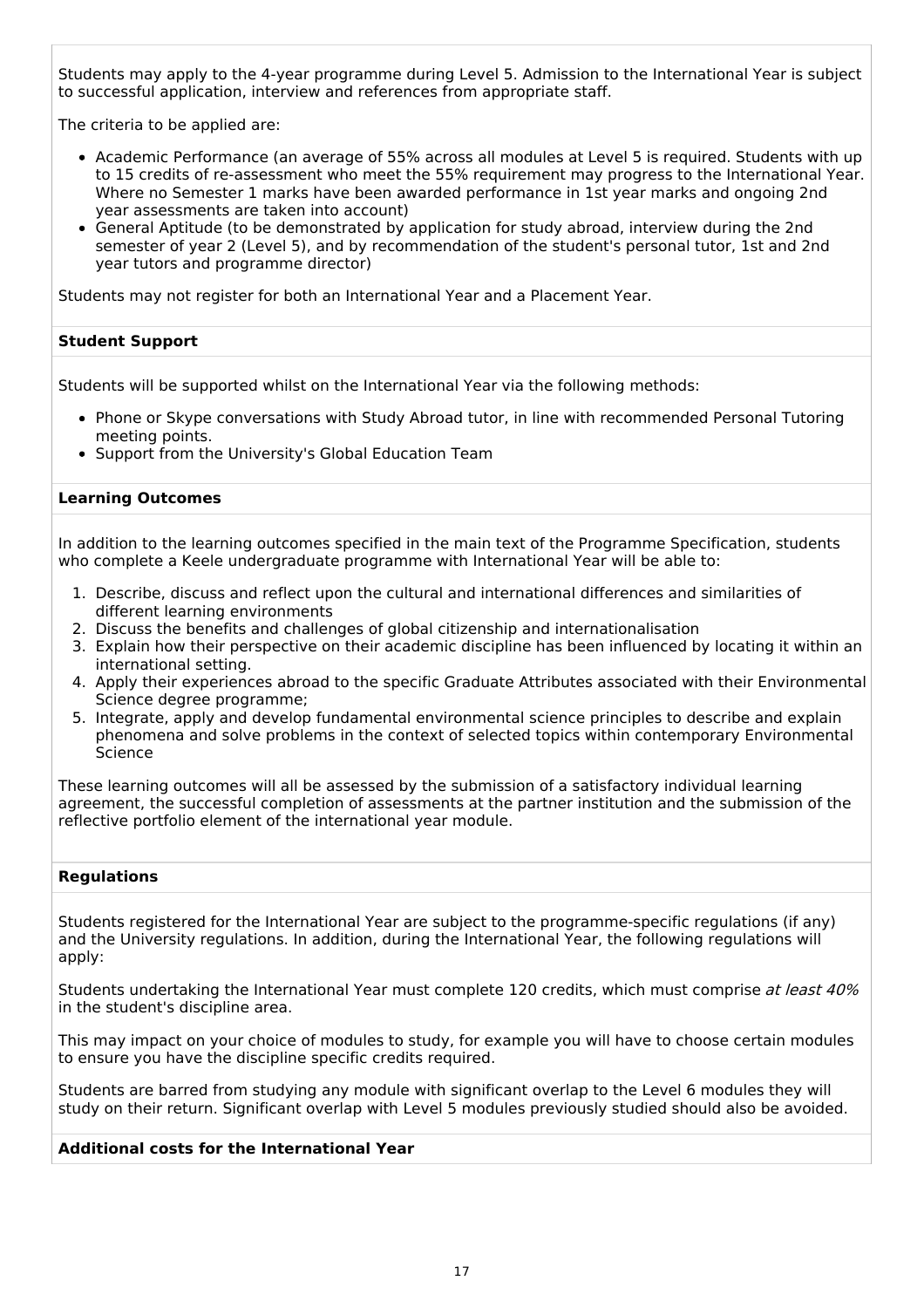Students may apply to the 4-year programme during Level 5. Admission to the International Year is subject to successful application, interview and references from appropriate staff.

The criteria to be applied are:

- Academic Performance (an average of 55% across all modules at Level 5 is required. Students with up to 15 credits of re-assessment who meet the 55% requirement may progress to the International Year. Where no Semester 1 marks have been awarded performance in 1st year marks and ongoing 2nd year assessments are taken into account)
- General Aptitude (to be demonstrated by application for study abroad, interview during the 2nd semester of year 2 (Level 5), and by recommendation of the student's personal tutor, 1st and 2nd year tutors and programme director)

Students may not register for both an International Year and a Placement Year.

#### **Student Support**

Students will be supported whilst on the International Year via the following methods:

- Phone or Skype conversations with Study Abroad tutor, in line with recommended Personal Tutoring meeting points.
- Support from the University's Global Education Team

#### **Learning Outcomes**

In addition to the learning outcomes specified in the main text of the Programme Specification, students who complete a Keele undergraduate programme with International Year will be able to:

- 1. Describe, discuss and reflect upon the cultural and international differences and similarities of different learning environments
- 2. Discuss the benefits and challenges of global citizenship and internationalisation
- 3. Explain how their perspective on their academic discipline has been influenced by locating it within an international setting.
- 4. Apply their experiences abroad to the specific Graduate Attributes associated with their Environmental Science degree programme;
- 5. Integrate, apply and develop fundamental environmental science principles to describe and explain phenomena and solve problems in the context of selected topics within contemporary Environmental Science

These learning outcomes will all be assessed by the submission of a satisfactory individual learning agreement, the successful completion of assessments at the partner institution and the submission of the reflective portfolio element of the international year module.

#### **Regulations**

Students registered for the International Year are subject to the programme-specific regulations (if any) and the University regulations. In addition, during the International Year, the following regulations will apply:

Students undertaking the International Year must complete 120 credits, which must comprise at least 40% in the student's discipline area.

This may impact on your choice of modules to study, for example you will have to choose certain modules to ensure you have the discipline specific credits required.

Students are barred from studying any module with significant overlap to the Level 6 modules they will study on their return. Significant overlap with Level 5 modules previously studied should also be avoided.

#### **Additional costs for the International Year**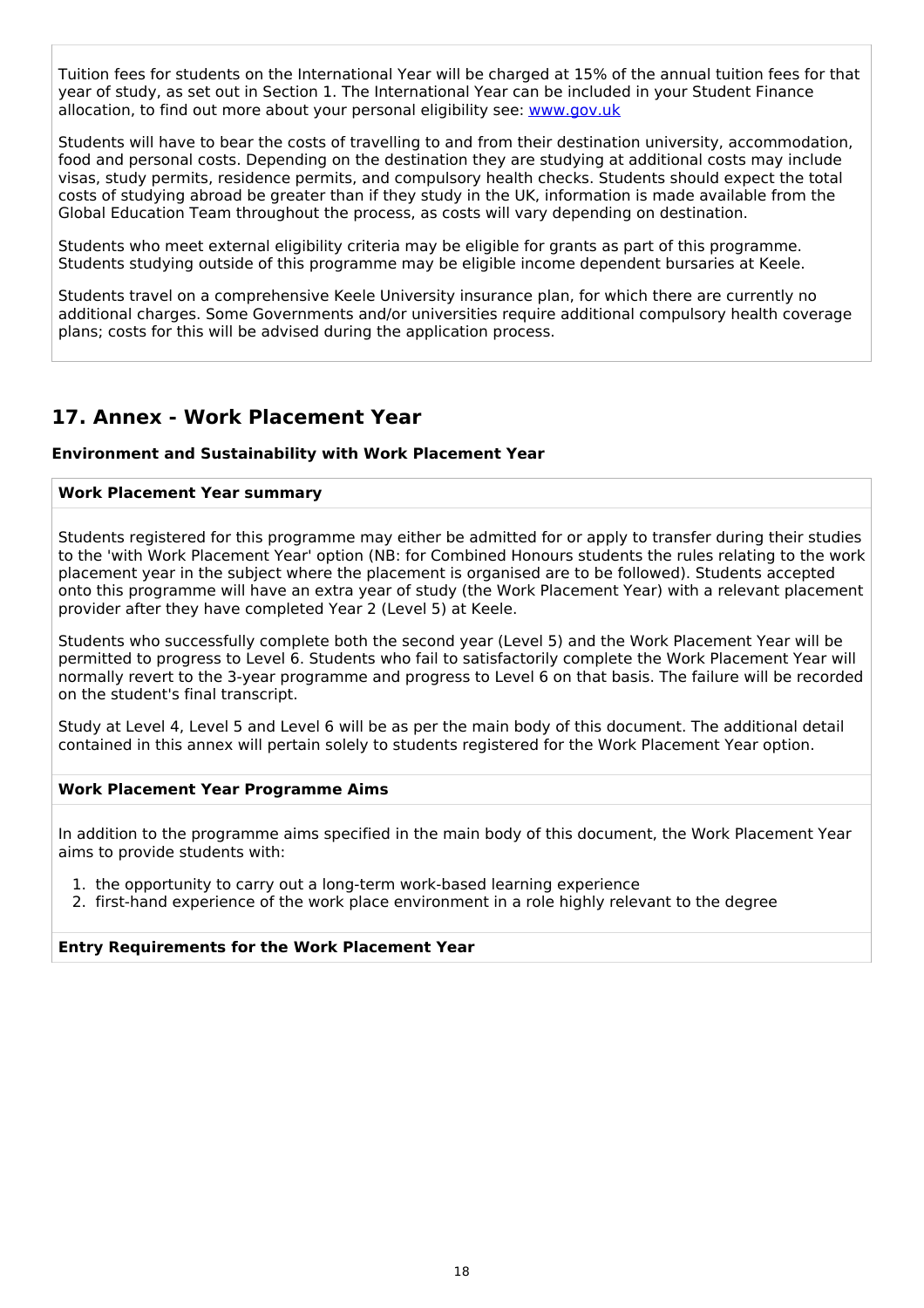Tuition fees for students on the International Year will be charged at 15% of the annual tuition fees for that year of study, as set out in Section 1. The International Year can be included in your Student Finance allocation, to find out more about your personal eligibility see: [www.gov.uk](http://www.gov.uk/)

Students will have to bear the costs of travelling to and from their destination university, accommodation, food and personal costs. Depending on the destination they are studying at additional costs may include visas, study permits, residence permits, and compulsory health checks. Students should expect the total costs of studying abroad be greater than if they study in the UK, information is made available from the Global Education Team throughout the process, as costs will vary depending on destination.

Students who meet external eligibility criteria may be eligible for grants as part of this programme. Students studying outside of this programme may be eligible income dependent bursaries at Keele.

Students travel on a comprehensive Keele University insurance plan, for which there are currently no additional charges. Some Governments and/or universities require additional compulsory health coverage plans; costs for this will be advised during the application process.

## **17. Annex - Work Placement Year**

#### **Environment and Sustainability with Work Placement Year**

#### **Work Placement Year summary**

Students registered for this programme may either be admitted for or apply to transfer during their studies to the 'with Work Placement Year' option (NB: for Combined Honours students the rules relating to the work placement year in the subject where the placement is organised are to be followed). Students accepted onto this programme will have an extra year of study (the Work Placement Year) with a relevant placement provider after they have completed Year 2 (Level 5) at Keele.

Students who successfully complete both the second year (Level 5) and the Work Placement Year will be permitted to progress to Level 6. Students who fail to satisfactorily complete the Work Placement Year will normally revert to the 3-year programme and progress to Level 6 on that basis. The failure will be recorded on the student's final transcript.

Study at Level 4, Level 5 and Level 6 will be as per the main body of this document. The additional detail contained in this annex will pertain solely to students registered for the Work Placement Year option.

#### **Work Placement Year Programme Aims**

In addition to the programme aims specified in the main body of this document, the Work Placement Year aims to provide students with:

- 1. the opportunity to carry out a long-term work-based learning experience
- 2. first-hand experience of the work place environment in a role highly relevant to the degree

#### **Entry Requirements for the Work Placement Year**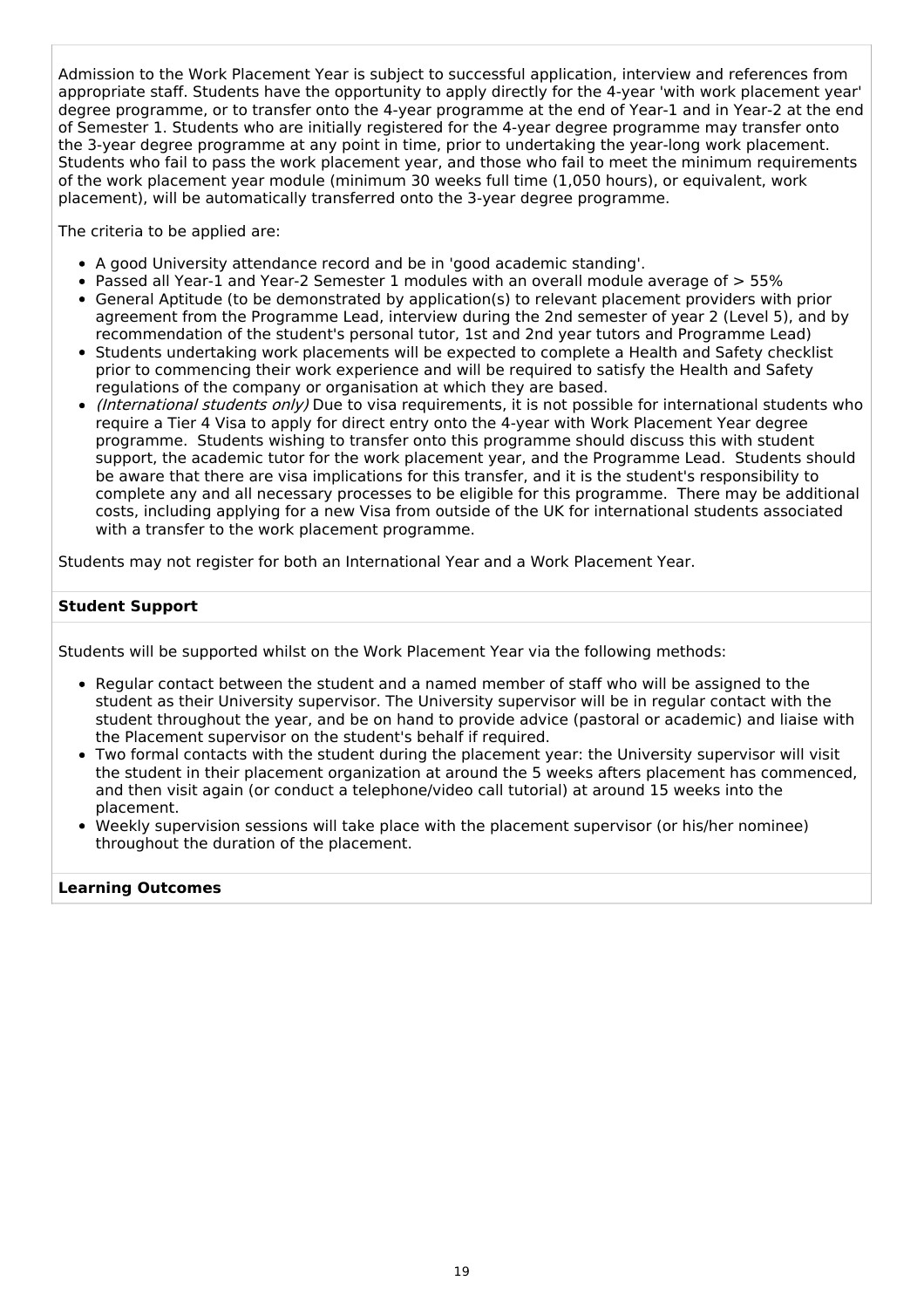Admission to the Work Placement Year is subject to successful application, interview and references from appropriate staff. Students have the opportunity to apply directly for the 4-year 'with work placement year' degree programme, or to transfer onto the 4-year programme at the end of Year-1 and in Year-2 at the end of Semester 1. Students who are initially registered for the 4-year degree programme may transfer onto the 3-year degree programme at any point in time, prior to undertaking the year-long work placement. Students who fail to pass the work placement year, and those who fail to meet the minimum requirements of the work placement year module (minimum 30 weeks full time (1,050 hours), or equivalent, work placement), will be automatically transferred onto the 3-year degree programme.

The criteria to be applied are:

- A good University attendance record and be in 'good academic standing'.
- Passed all Year-1 and Year-2 Semester 1 modules with an overall module average of > 55%
- General Aptitude (to be demonstrated by application(s) to relevant placement providers with prior agreement from the Programme Lead, interview during the 2nd semester of year 2 (Level 5), and by recommendation of the student's personal tutor, 1st and 2nd year tutors and Programme Lead)
- Students undertaking work placements will be expected to complete a Health and Safety checklist prior to commencing their work experience and will be required to satisfy the Health and Safety regulations of the company or organisation at which they are based.
- (International students only) Due to visa requirements, it is not possible for international students who require a Tier 4 Visa to apply for direct entry onto the 4-year with Work Placement Year degree programme. Students wishing to transfer onto this programme should discuss this with student support, the academic tutor for the work placement year, and the Programme Lead. Students should be aware that there are visa implications for this transfer, and it is the student's responsibility to complete any and all necessary processes to be eligible for this programme. There may be additional costs, including applying for a new Visa from outside of the UK for international students associated with a transfer to the work placement programme.

Students may not register for both an International Year and a Work Placement Year.

#### **Student Support**

Students will be supported whilst on the Work Placement Year via the following methods:

- Regular contact between the student and a named member of staff who will be assigned to the student as their University supervisor. The University supervisor will be in regular contact with the student throughout the year, and be on hand to provide advice (pastoral or academic) and liaise with the Placement supervisor on the student's behalf if required.
- Two formal contacts with the student during the placement year: the University supervisor will visit the student in their placement organization at around the 5 weeks afters placement has commenced, and then visit again (or conduct a telephone/video call tutorial) at around 15 weeks into the placement.
- Weekly supervision sessions will take place with the placement supervisor (or his/her nominee) throughout the duration of the placement.

#### **Learning Outcomes**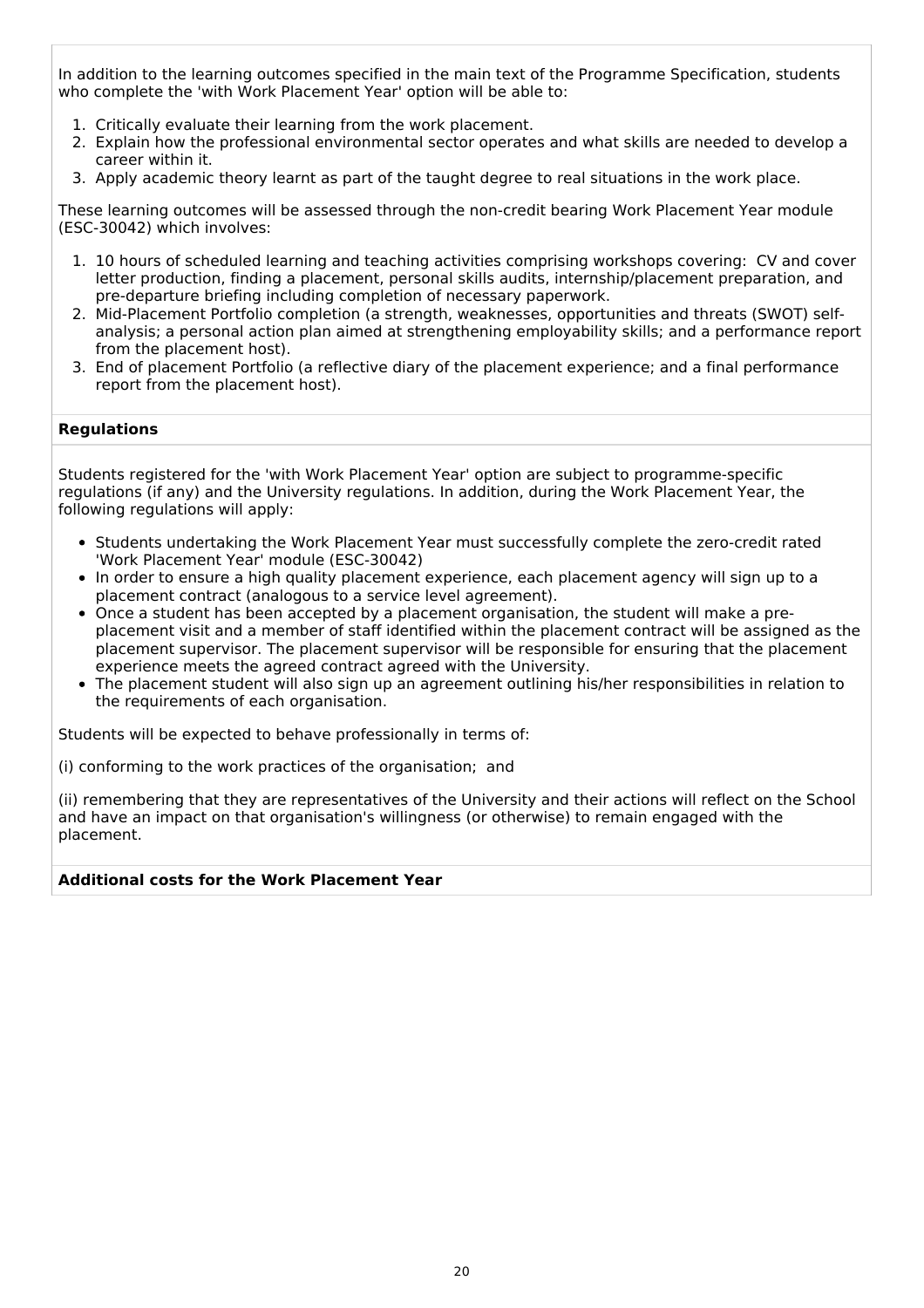In addition to the learning outcomes specified in the main text of the Programme Specification, students who complete the 'with Work Placement Year' option will be able to:

- 1. Critically evaluate their learning from the work placement.
- 2. Explain how the professional environmental sector operates and what skills are needed to develop a career within it.
- 3. Apply academic theory learnt as part of the taught degree to real situations in the work place.

These learning outcomes will be assessed through the non-credit bearing Work Placement Year module (ESC-30042) which involves:

- 1. 10 hours of scheduled learning and teaching activities comprising workshops covering: CV and cover letter production, finding a placement, personal skills audits, internship/placement preparation, and pre-departure briefing including completion of necessary paperwork.
- 2. Mid-Placement Portfolio completion (a strength, weaknesses, opportunities and threats (SWOT) selfanalysis; a personal action plan aimed at strengthening employability skills; and a performance report from the placement host).
- 3. End of placement Portfolio (a reflective diary of the placement experience; and a final performance report from the placement host).

#### **Regulations**

Students registered for the 'with Work Placement Year' option are subject to programme-specific regulations (if any) and the University regulations. In addition, during the Work Placement Year, the following regulations will apply:

- Students undertaking the Work Placement Year must successfully complete the zero-credit rated 'Work Placement Year' module (ESC-30042)
- In order to ensure a high quality placement experience, each placement agency will sign up to a placement contract (analogous to a service level agreement).
- Once a student has been accepted by a placement organisation, the student will make a preplacement visit and a member of staff identified within the placement contract will be assigned as the placement supervisor. The placement supervisor will be responsible for ensuring that the placement experience meets the agreed contract agreed with the University.
- The placement student will also sign up an agreement outlining his/her responsibilities in relation to the requirements of each organisation.

Students will be expected to behave professionally in terms of:

(i) conforming to the work practices of the organisation; and

(ii) remembering that they are representatives of the University and their actions will reflect on the School and have an impact on that organisation's willingness (or otherwise) to remain engaged with the placement.

#### **Additional costs for the Work Placement Year**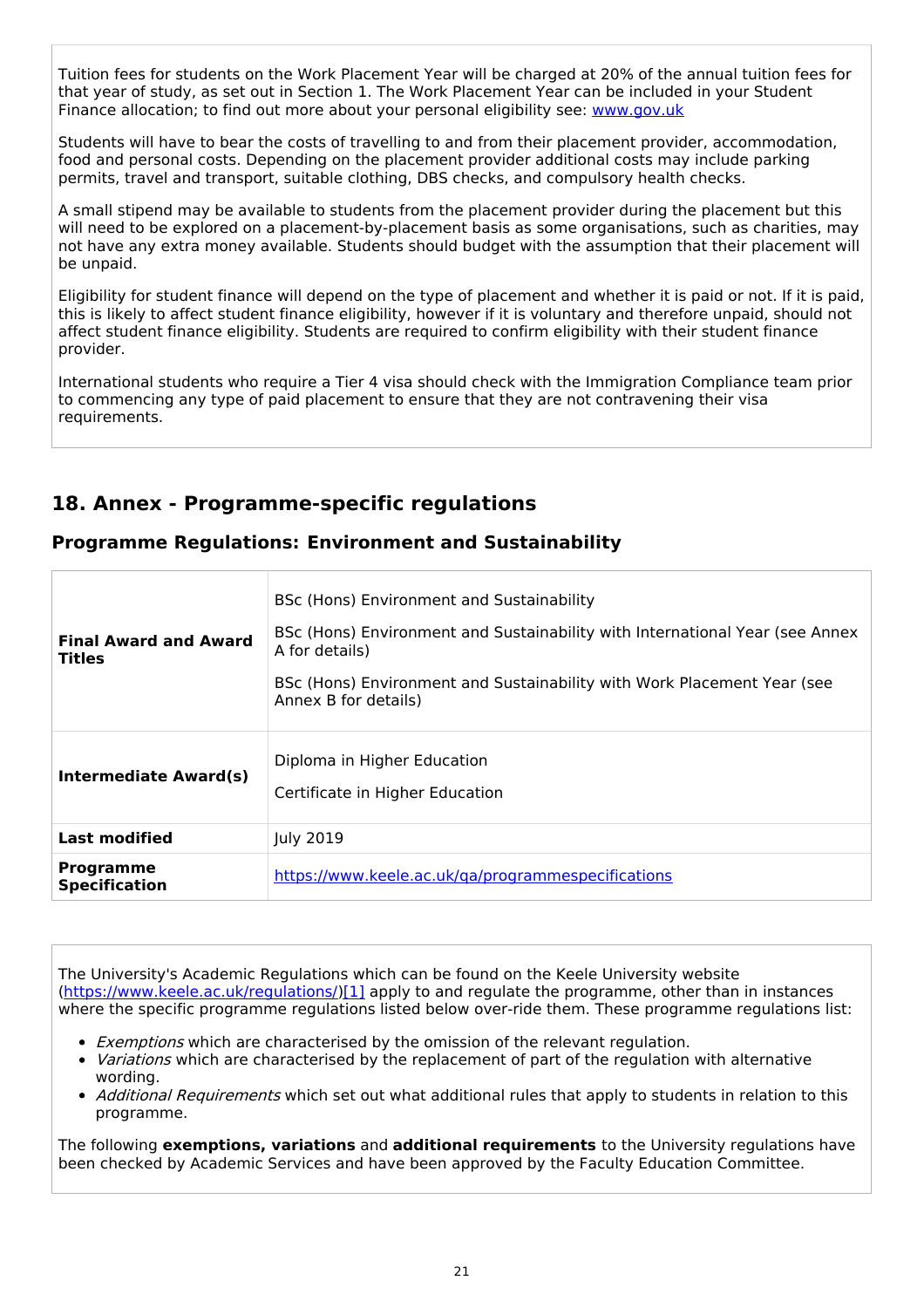Tuition fees for students on the Work Placement Year will be charged at 20% of the annual tuition fees for that year of study, as set out in Section 1. The Work Placement Year can be included in your Student Finance allocation; to find out more about your personal eligibility see: [www.gov.uk](http://www.gov.uk/)

Students will have to bear the costs of travelling to and from their placement provider, accommodation, food and personal costs. Depending on the placement provider additional costs may include parking permits, travel and transport, suitable clothing, DBS checks, and compulsory health checks.

A small stipend may be available to students from the placement provider during the placement but this will need to be explored on a placement-by-placement basis as some organisations, such as charities, may not have any extra money available. Students should budget with the assumption that their placement will be unpaid.

Eligibility for student finance will depend on the type of placement and whether it is paid or not. If it is paid, this is likely to affect student finance eligibility, however if it is voluntary and therefore unpaid, should not affect student finance eligibility. Students are required to confirm eligibility with their student finance provider.

International students who require a Tier 4 visa should check with the Immigration Compliance team prior to commencing any type of paid placement to ensure that they are not contravening their visa requirements.

## **18. Annex - Programme-specific regulations**

| <b>Programme Regulations: Environment and Sustainability</b> |  |  |  |  |
|--------------------------------------------------------------|--|--|--|--|
|--------------------------------------------------------------|--|--|--|--|

| <b>Final Award and Award</b><br><b>Titles</b> | BSc (Hons) Environment and Sustainability<br>BSc (Hons) Environment and Sustainability with International Year (see Annex<br>A for details)<br>BSc (Hons) Environment and Sustainability with Work Placement Year (see<br>Annex B for details) |
|-----------------------------------------------|------------------------------------------------------------------------------------------------------------------------------------------------------------------------------------------------------------------------------------------------|
| <b>Intermediate Award(s)</b>                  | Diploma in Higher Education<br>Certificate in Higher Education                                                                                                                                                                                 |
| <b>Last modified</b>                          | July 2019                                                                                                                                                                                                                                      |
| <b>Programme</b><br><b>Specification</b>      | https://www.keele.ac.uk/ga/programmespecifications                                                                                                                                                                                             |

The University's Academic Regulations which can be found on the Keele University website [\(https://www.keele.ac.uk/regulations/](https://www.keele.ac.uk/regulations/)[\)\[1\]](https://scims-api.keele.ac.uk/#_ftn1) apply to and regulate the programme, other than in instances where the specific programme regulations listed below over-ride them. These programme regulations list:

- *Exemptions* which are characterised by the omission of the relevant regulation.
- Variations which are characterised by the replacement of part of the regulation with alternative wording.
- Additional Requirements which set out what additional rules that apply to students in relation to this programme.

The following **exemptions, variations** and **additional requirements** to the University regulations have been checked by Academic Services and have been approved by the Faculty Education Committee.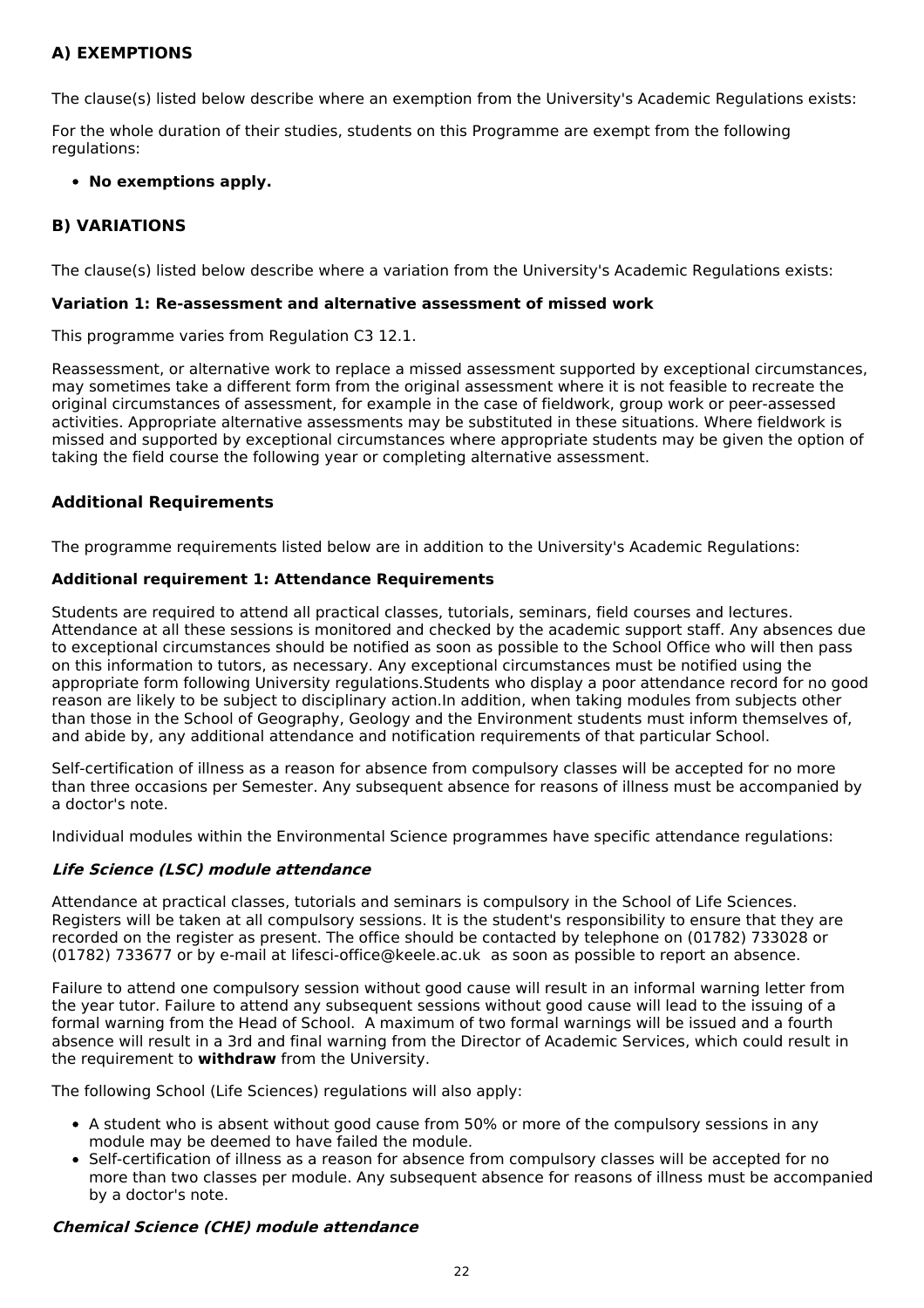### **A) EXEMPTIONS**

The clause(s) listed below describe where an exemption from the University's Academic Regulations exists:

For the whole duration of their studies, students on this Programme are exempt from the following regulations:

#### **No exemptions apply.**

### **B) VARIATIONS**

The clause(s) listed below describe where a variation from the University's Academic Regulations exists:

#### **Variation 1: Re-assessment and alternative assessment of missed work**

This programme varies from Regulation C3 12.1.

Reassessment, or alternative work to replace a missed assessment supported by exceptional circumstances, may sometimes take a different form from the original assessment where it is not feasible to recreate the original circumstances of assessment, for example in the case of fieldwork, group work or peer-assessed activities. Appropriate alternative assessments may be substituted in these situations. Where fieldwork is missed and supported by exceptional circumstances where appropriate students may be given the option of taking the field course the following year or completing alternative assessment.

#### **Additional Requirements**

The programme requirements listed below are in addition to the University's Academic Regulations:

#### **Additional requirement 1: Attendance Requirements**

Students are required to attend all practical classes, tutorials, seminars, field courses and lectures. Attendance at all these sessions is monitored and checked by the academic support staff. Any absences due to exceptional circumstances should be notified as soon as possible to the School Office who will then pass on this information to tutors, as necessary. Any exceptional circumstances must be notified using the appropriate form following University regulations.Students who display a poor attendance record for no good reason are likely to be subject to disciplinary action.In addition, when taking modules from subjects other than those in the School of Geography, Geology and the Environment students must inform themselves of, and abide by, any additional attendance and notification requirements of that particular School.

Self-certification of illness as a reason for absence from compulsory classes will be accepted for no more than three occasions per Semester. Any subsequent absence for reasons of illness must be accompanied by a doctor's note.

Individual modules within the Environmental Science programmes have specific attendance regulations:

#### **Life Science (LSC) module attendance**

Attendance at practical classes, tutorials and seminars is compulsory in the School of Life Sciences. Registers will be taken at all compulsory sessions. It is the student's responsibility to ensure that they are recorded on the register as present. The office should be contacted by telephone on (01782) 733028 or (01782) 733677 or by e-mail at lifesci-office@keele.ac.uk as soon as possible to report an absence.

Failure to attend one compulsory session without good cause will result in an informal warning letter from the year tutor. Failure to attend any subsequent sessions without good cause will lead to the issuing of a formal warning from the Head of School. A maximum of two formal warnings will be issued and a fourth absence will result in a 3rd and final warning from the Director of Academic Services, which could result in the requirement to **withdraw** from the University.

The following School (Life Sciences) regulations will also apply:

- A student who is absent without good cause from 50% or more of the compulsory sessions in any module may be deemed to have failed the module.
- Self-certification of illness as a reason for absence from compulsory classes will be accepted for no more than two classes per module. Any subsequent absence for reasons of illness must be accompanied by a doctor's note.

#### **Chemical Science (CHE) module attendance**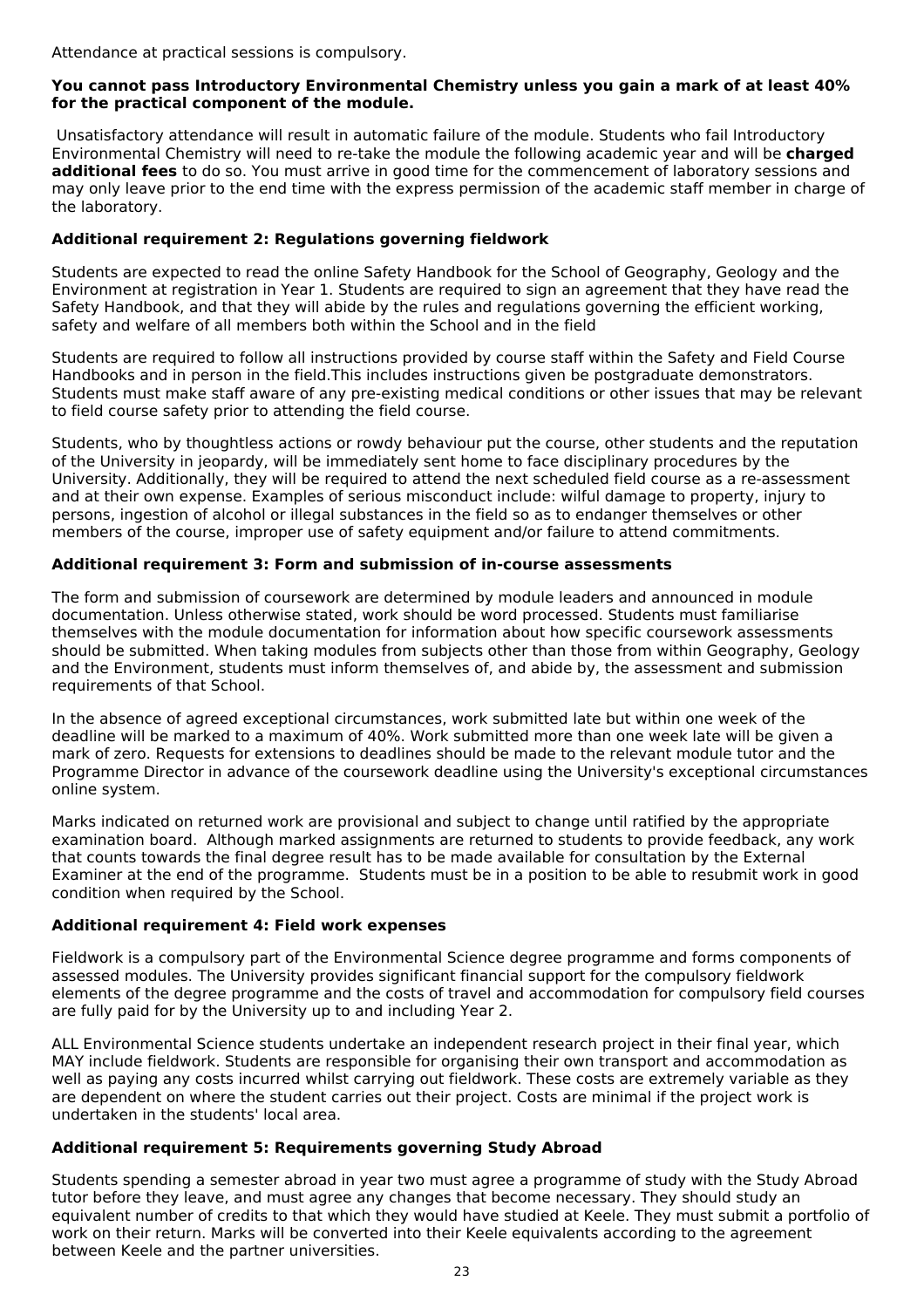#### **You cannot pass Introductory Environmental Chemistry unless you gain a mark of at least 40% for the practical component of the module.**

Unsatisfactory attendance will result in automatic failure of the module. Students who fail Introductory Environmental Chemistry will need to re-take the module the following academic year and will be **charged additional fees** to do so. You must arrive in good time for the commencement of laboratory sessions and may only leave prior to the end time with the express permission of the academic staff member in charge of the laboratory.

### **Additional requirement 2: Regulations governing fieldwork**

Students are expected to read the online Safety Handbook for the School of Geography, Geology and the Environment at registration in Year 1. Students are required to sign an agreement that they have read the Safety Handbook, and that they will abide by the rules and regulations governing the efficient working, safety and welfare of all members both within the School and in the field

Students are required to follow all instructions provided by course staff within the Safety and Field Course Handbooks and in person in the field.This includes instructions given be postgraduate demonstrators. Students must make staff aware of any pre-existing medical conditions or other issues that may be relevant to field course safety prior to attending the field course.

Students, who by thoughtless actions or rowdy behaviour put the course, other students and the reputation of the University in jeopardy, will be immediately sent home to face disciplinary procedures by the University. Additionally, they will be required to attend the next scheduled field course as a re-assessment and at their own expense. Examples of serious misconduct include: wilful damage to property, injury to persons, ingestion of alcohol or illegal substances in the field so as to endanger themselves or other members of the course, improper use of safety equipment and/or failure to attend commitments.

#### **Additional requirement 3: Form and submission of in-course assessments**

The form and submission of coursework are determined by module leaders and announced in module documentation. Unless otherwise stated, work should be word processed. Students must familiarise themselves with the module documentation for information about how specific coursework assessments should be submitted. When taking modules from subjects other than those from within Geography, Geology and the Environment, students must inform themselves of, and abide by, the assessment and submission requirements of that School.

In the absence of agreed exceptional circumstances, work submitted late but within one week of the deadline will be marked to a maximum of 40%. Work submitted more than one week late will be given a mark of zero. Requests for extensions to deadlines should be made to the relevant module tutor and the Programme Director in advance of the coursework deadline using the University's exceptional circumstances online system.

Marks indicated on returned work are provisional and subject to change until ratified by the appropriate examination board. Although marked assignments are returned to students to provide feedback, any work that counts towards the final degree result has to be made available for consultation by the External Examiner at the end of the programme. Students must be in a position to be able to resubmit work in good condition when required by the School.

### **Additional requirement 4: Field work expenses**

Fieldwork is a compulsory part of the Environmental Science degree programme and forms components of assessed modules. The University provides significant financial support for the compulsory fieldwork elements of the degree programme and the costs of travel and accommodation for compulsory field courses are fully paid for by the University up to and including Year 2.

ALL Environmental Science students undertake an independent research project in their final year, which MAY include fieldwork. Students are responsible for organising their own transport and accommodation as well as paying any costs incurred whilst carrying out fieldwork. These costs are extremely variable as they are dependent on where the student carries out their project. Costs are minimal if the project work is undertaken in the students' local area.

### **Additional requirement 5: Requirements governing Study Abroad**

Students spending a semester abroad in year two must agree a programme of study with the Study Abroad tutor before they leave, and must agree any changes that become necessary. They should study an equivalent number of credits to that which they would have studied at Keele. They must submit a portfolio of work on their return. Marks will be converted into their Keele equivalents according to the agreement between Keele and the partner universities.